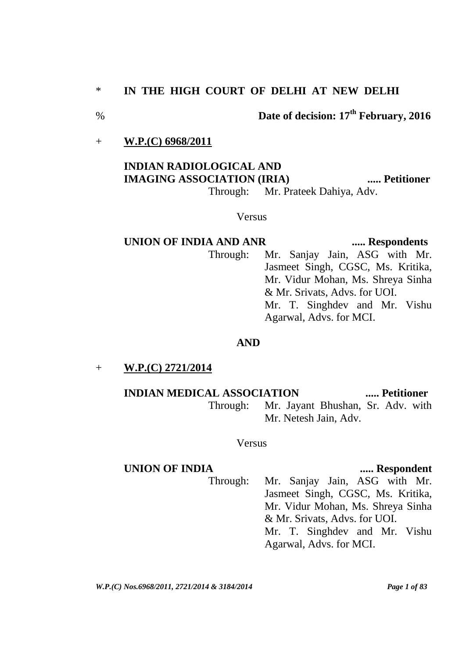## \* **IN THE HIGH COURT OF DELHI AT NEW DELHI**

# % **Date of decision: 17th February, 2016**

# + **W.P.(C) 6968/2011**

# **INDIAN RADIOLOGICAL AND IMAGING ASSOCIATION (IRIA) ..... Petitioner** Through: Mr. Prateek Dahiya, Adv.

# Versus

# **UNION OF INDIA AND ANR ..... Respondents** Through: Mr. Sanjay Jain, ASG with Mr. Jasmeet Singh, CGSC, Ms. Kritika, Mr. Vidur Mohan, Ms. Shreya Sinha & Mr. Srivats, Advs. for UOI. Mr. T. Singhdev and Mr. Vishu Agarwal, Advs. for MCI.

#### **AND**

#### + **W.P.(C) 2721/2014**

# **INDIAN MEDICAL ASSOCIATION ..... Petitioner**

Through: Mr. Jayant Bhushan, Sr. Adv. with Mr. Netesh Jain, Adv.

# Versus

### **UNION OF INDIA ..... Respondent**

Through: Mr. Sanjay Jain, ASG with Mr. Jasmeet Singh, CGSC, Ms. Kritika, Mr. Vidur Mohan, Ms. Shreya Sinha & Mr. Srivats, Advs. for UOI. Mr. T. Singhdev and Mr. Vishu Agarwal, Advs. for MCI.

*W.P.(C) Nos.6968/2011, 2721/2014 & 3184/2014 Page 1 of 83*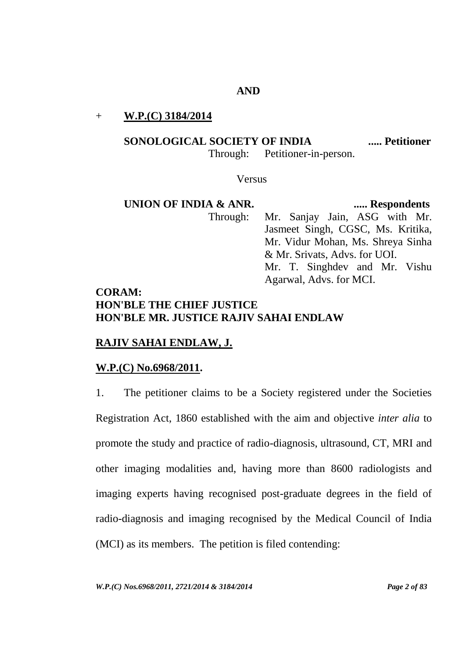#### **AND**

#### + **W.P.(C) 3184/2014**

#### **SONOLOGICAL SOCIETY OF INDIA ..... Petitioner**

Through: Petitioner-in-person.

Versus

**UNION OF INDIA & ANR.** ...... Respondents Through: Mr. Sanjay Jain, ASG with Mr. Jasmeet Singh, CGSC, Ms. Kritika, Mr. Vidur Mohan, Ms. Shreya Sinha & Mr. Srivats, Advs. for UOI. Mr. T. Singhdev and Mr. Vishu Agarwal, Advs. for MCI.

# **CORAM: HON'BLE THE CHIEF JUSTICE HON'BLE MR. JUSTICE RAJIV SAHAI ENDLAW**

# **RAJIV SAHAI ENDLAW, J.**

# **W.P.(C) No.6968/2011.**

1. The petitioner claims to be a Society registered under the Societies Registration Act, 1860 established with the aim and objective *inter alia* to promote the study and practice of radio-diagnosis, ultrasound, CT, MRI and other imaging modalities and, having more than 8600 radiologists and imaging experts having recognised post-graduate degrees in the field of radio-diagnosis and imaging recognised by the Medical Council of India (MCI) as its members. The petition is filed contending: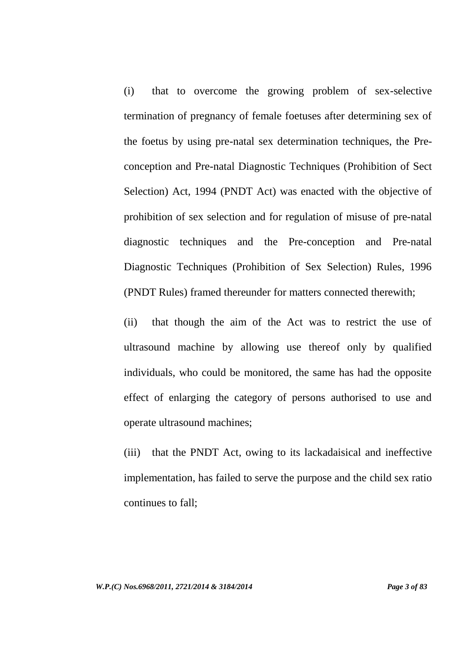(i) that to overcome the growing problem of sex-selective termination of pregnancy of female foetuses after determining sex of the foetus by using pre-natal sex determination techniques, the Preconception and Pre-natal Diagnostic Techniques (Prohibition of Sect Selection) Act, 1994 (PNDT Act) was enacted with the objective of prohibition of sex selection and for regulation of misuse of pre-natal diagnostic techniques and the Pre-conception and Pre-natal Diagnostic Techniques (Prohibition of Sex Selection) Rules, 1996 (PNDT Rules) framed thereunder for matters connected therewith;

(ii) that though the aim of the Act was to restrict the use of ultrasound machine by allowing use thereof only by qualified individuals, who could be monitored, the same has had the opposite effect of enlarging the category of persons authorised to use and operate ultrasound machines;

(iii) that the PNDT Act, owing to its lackadaisical and ineffective implementation, has failed to serve the purpose and the child sex ratio continues to fall;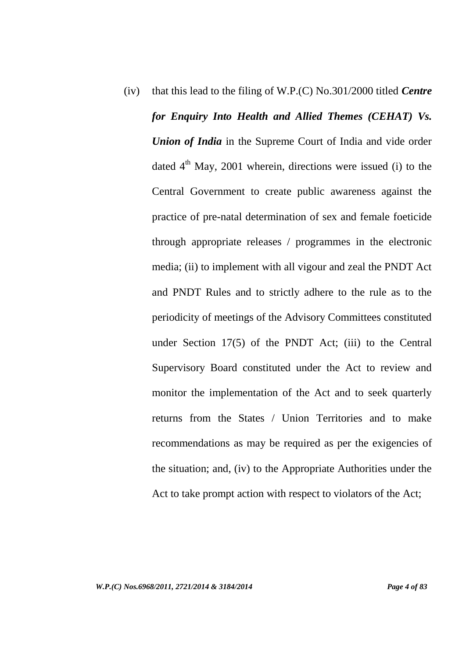(iv) that this lead to the filing of W.P.(C) No.301/2000 titled *Centre for Enquiry Into Health and Allied Themes (CEHAT) Vs. Union of India* in the Supreme Court of India and vide order dated  $4<sup>th</sup>$  May, 2001 wherein, directions were issued (i) to the Central Government to create public awareness against the practice of pre-natal determination of sex and female foeticide through appropriate releases / programmes in the electronic media; (ii) to implement with all vigour and zeal the PNDT Act and PNDT Rules and to strictly adhere to the rule as to the periodicity of meetings of the Advisory Committees constituted under Section 17(5) of the PNDT Act; (iii) to the Central Supervisory Board constituted under the Act to review and monitor the implementation of the Act and to seek quarterly returns from the States / Union Territories and to make recommendations as may be required as per the exigencies of the situation; and, (iv) to the Appropriate Authorities under the Act to take prompt action with respect to violators of the Act;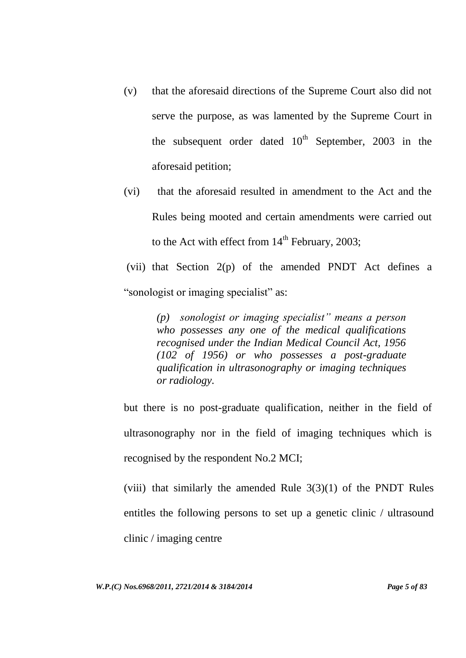- (v) that the aforesaid directions of the Supreme Court also did not serve the purpose, as was lamented by the Supreme Court in the subsequent order dated  $10<sup>th</sup>$  September, 2003 in the aforesaid petition;
- (vi) that the aforesaid resulted in amendment to the Act and the Rules being mooted and certain amendments were carried out to the Act with effect from  $14<sup>th</sup>$  February, 2003;
- (vii) that Section 2(p) of the amended PNDT Act defines a "sonologist or imaging specialist" as:

*(p) sonologist or imaging specialist" means a person who possesses any one of the medical qualifications recognised under the Indian Medical Council Act, 1956 (102 of 1956) or who possesses a post-graduate qualification in ultrasonography or imaging techniques or radiology.*

but there is no post-graduate qualification, neither in the field of ultrasonography nor in the field of imaging techniques which is recognised by the respondent No.2 MCI;

(viii) that similarly the amended Rule  $3(3)(1)$  of the PNDT Rules entitles the following persons to set up a genetic clinic / ultrasound clinic / imaging centre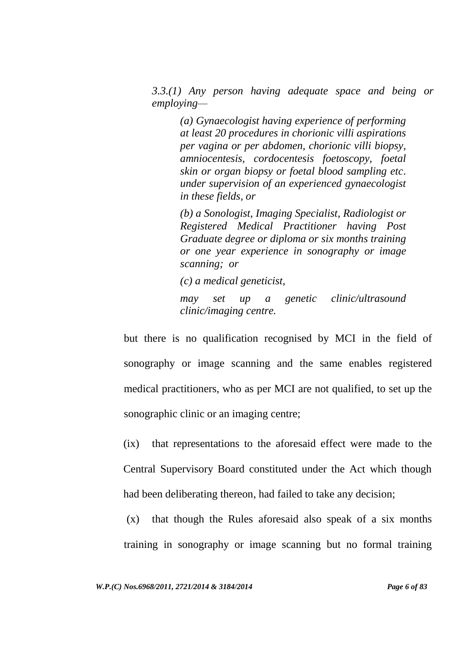*3.3.(1) Any person having adequate space and being or employing—*

*(a) Gynaecologist having experience of performing at least 20 procedures in chorionic villi aspirations per vagina or per abdomen, chorionic villi biopsy, amniocentesis, cordocentesis foetoscopy, foetal skin or organ biopsy or foetal blood sampling etc. under supervision of an experienced gynaecologist in these fields, or* 

*(b) a Sonologist, Imaging Specialist, Radiologist or Registered Medical Practitioner having Post Graduate degree or diploma or six months training or one year experience in sonography or image scanning; or* 

*(c) a medical geneticist,*

*may set up a genetic clinic/ultrasound clinic/imaging centre.*

but there is no qualification recognised by MCI in the field of sonography or image scanning and the same enables registered medical practitioners, who as per MCI are not qualified, to set up the sonographic clinic or an imaging centre;

(ix) that representations to the aforesaid effect were made to the Central Supervisory Board constituted under the Act which though had been deliberating thereon, had failed to take any decision;

(x) that though the Rules aforesaid also speak of a six months training in sonography or image scanning but no formal training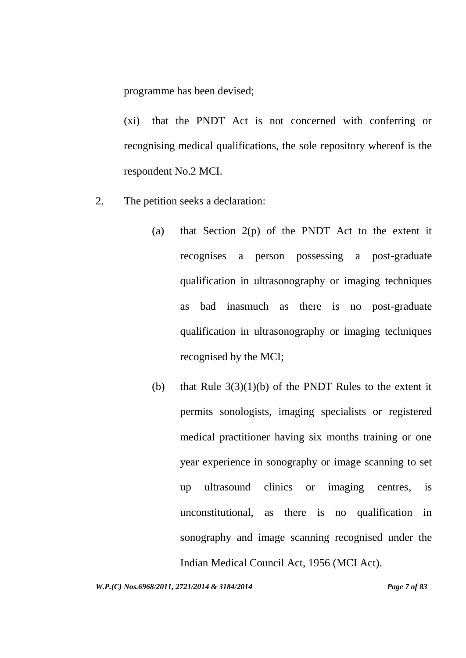programme has been devised;

(xi) that the PNDT Act is not concerned with conferring or recognising medical qualifications, the sole repository whereof is the respondent No.2 MCI.

- 2. The petition seeks a declaration:
	- (a) that Section  $2(p)$  of the PNDT Act to the extent it recognises a person possessing a post-graduate qualification in ultrasonography or imaging techniques as bad inasmuch as there is no post-graduate qualification in ultrasonography or imaging techniques recognised by the MCI;
	- (b) that Rule  $3(3)(1)(b)$  of the PNDT Rules to the extent it permits sonologists, imaging specialists or registered medical practitioner having six months training or one year experience in sonography or image scanning to set up ultrasound clinics or imaging centres, is unconstitutional, as there is no qualification in sonography and image scanning recognised under the Indian Medical Council Act, 1956 (MCI Act).

*W.P.(C) Nos.6968/2011, 2721/2014 & 3184/2014 Page 7 of 83*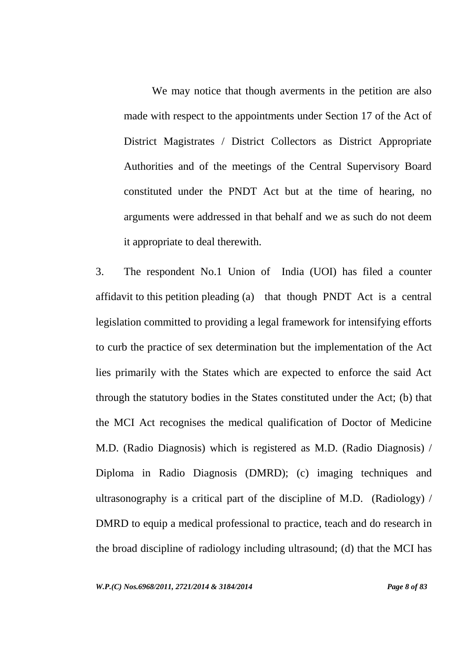We may notice that though averments in the petition are also made with respect to the appointments under Section 17 of the Act of District Magistrates / District Collectors as District Appropriate Authorities and of the meetings of the Central Supervisory Board constituted under the PNDT Act but at the time of hearing, no arguments were addressed in that behalf and we as such do not deem it appropriate to deal therewith.

3. The respondent No.1 Union of India (UOI) has filed a counter affidavit to this petition pleading (a) that though PNDT Act is a central legislation committed to providing a legal framework for intensifying efforts to curb the practice of sex determination but the implementation of the Act lies primarily with the States which are expected to enforce the said Act through the statutory bodies in the States constituted under the Act; (b) that the MCI Act recognises the medical qualification of Doctor of Medicine M.D. (Radio Diagnosis) which is registered as M.D. (Radio Diagnosis) / Diploma in Radio Diagnosis (DMRD); (c) imaging techniques and ultrasonography is a critical part of the discipline of M.D. (Radiology) / DMRD to equip a medical professional to practice, teach and do research in the broad discipline of radiology including ultrasound; (d) that the MCI has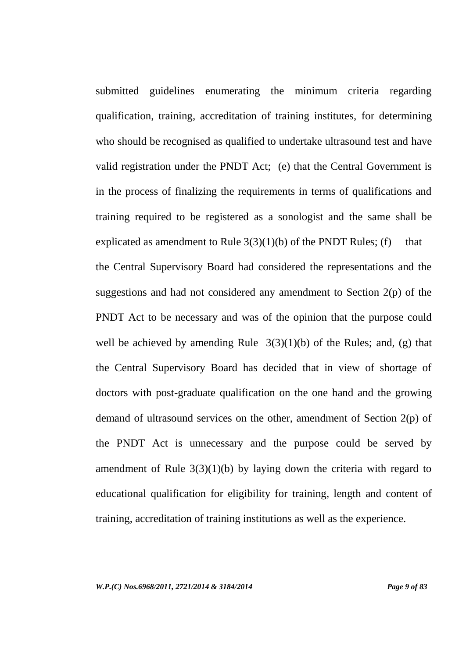submitted guidelines enumerating the minimum criteria regarding qualification, training, accreditation of training institutes, for determining who should be recognised as qualified to undertake ultrasound test and have valid registration under the PNDT Act; (e) that the Central Government is in the process of finalizing the requirements in terms of qualifications and training required to be registered as a sonologist and the same shall be explicated as amendment to Rule  $3(3)(1)(b)$  of the PNDT Rules; (f) that the Central Supervisory Board had considered the representations and the suggestions and had not considered any amendment to Section 2(p) of the PNDT Act to be necessary and was of the opinion that the purpose could well be achieved by amending Rule  $3(3)(1)(b)$  of the Rules; and, (g) that the Central Supervisory Board has decided that in view of shortage of doctors with post-graduate qualification on the one hand and the growing demand of ultrasound services on the other, amendment of Section 2(p) of the PNDT Act is unnecessary and the purpose could be served by amendment of Rule  $3(3)(1)(b)$  by laying down the criteria with regard to educational qualification for eligibility for training, length and content of training, accreditation of training institutions as well as the experience.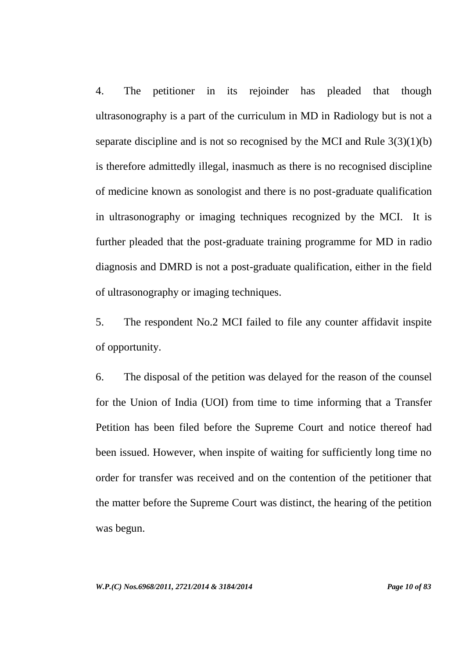4. The petitioner in its rejoinder has pleaded that though ultrasonography is a part of the curriculum in MD in Radiology but is not a separate discipline and is not so recognised by the MCI and Rule 3(3)(1)(b) is therefore admittedly illegal, inasmuch as there is no recognised discipline of medicine known as sonologist and there is no post-graduate qualification in ultrasonography or imaging techniques recognized by the MCI. It is further pleaded that the post-graduate training programme for MD in radio diagnosis and DMRD is not a post-graduate qualification, either in the field of ultrasonography or imaging techniques.

5. The respondent No.2 MCI failed to file any counter affidavit inspite of opportunity.

6. The disposal of the petition was delayed for the reason of the counsel for the Union of India (UOI) from time to time informing that a Transfer Petition has been filed before the Supreme Court and notice thereof had been issued. However, when inspite of waiting for sufficiently long time no order for transfer was received and on the contention of the petitioner that the matter before the Supreme Court was distinct, the hearing of the petition was begun.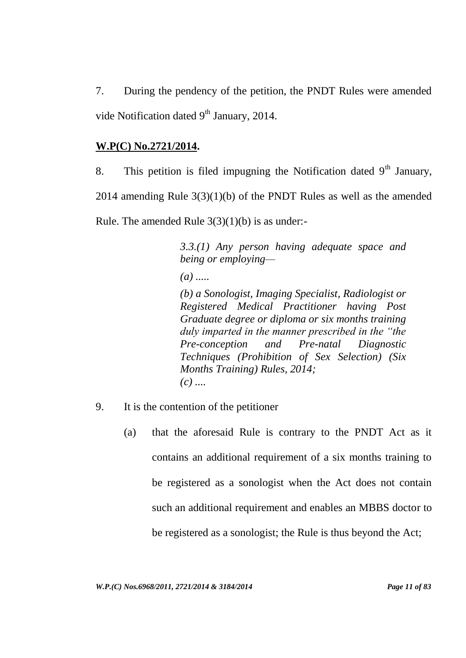7. During the pendency of the petition, the PNDT Rules were amended vide Notification dated  $9<sup>th</sup>$  January, 2014.

# **W.P(C) No.2721/2014.**

8. This petition is filed impugning the Notification dated  $9<sup>th</sup>$  January, 2014 amending Rule 3(3)(1)(b) of the PNDT Rules as well as the amended Rule. The amended Rule  $3(3)(1)(b)$  is as under:-

> *3.3.(1) Any person having adequate space and being or employing—*

*(a) .....* 

*(b) a Sonologist, Imaging Specialist, Radiologist or Registered Medical Practitioner having Post Graduate degree or diploma or six months training duly imparted in the manner prescribed in the "the Pre-conception and Pre-natal Diagnostic Techniques (Prohibition of Sex Selection) (Six Months Training) Rules, 2014; (c) ....*

- 9. It is the contention of the petitioner
	- (a) that the aforesaid Rule is contrary to the PNDT Act as it contains an additional requirement of a six months training to be registered as a sonologist when the Act does not contain such an additional requirement and enables an MBBS doctor to be registered as a sonologist; the Rule is thus beyond the Act;

*W.P.(C) Nos.6968/2011, 2721/2014 & 3184/2014 Page 11 of 83*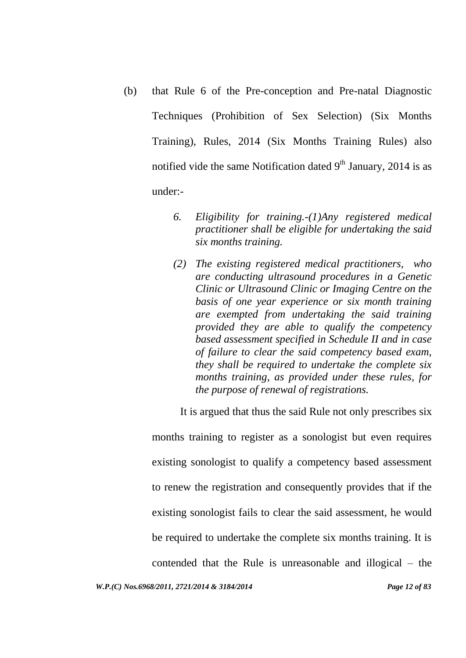- (b) that Rule 6 of the Pre-conception and Pre-natal Diagnostic Techniques (Prohibition of Sex Selection) (Six Months Training), Rules, 2014 (Six Months Training Rules) also notified vide the same Notification dated  $9<sup>th</sup>$  January, 2014 is as under:-
	- *6. Eligibility for training.-(1)Any registered medical practitioner shall be eligible for undertaking the said six months training.*
	- *(2) The existing registered medical practitioners, who are conducting ultrasound procedures in a Genetic Clinic or Ultrasound Clinic or Imaging Centre on the basis of one year experience or six month training are exempted from undertaking the said training provided they are able to qualify the competency based assessment specified in Schedule II and in case of failure to clear the said competency based exam, they shall be required to undertake the complete six months training, as provided under these rules, for the purpose of renewal of registrations.*

It is argued that thus the said Rule not only prescribes six

months training to register as a sonologist but even requires existing sonologist to qualify a competency based assessment to renew the registration and consequently provides that if the existing sonologist fails to clear the said assessment, he would be required to undertake the complete six months training. It is contended that the Rule is unreasonable and illogical – the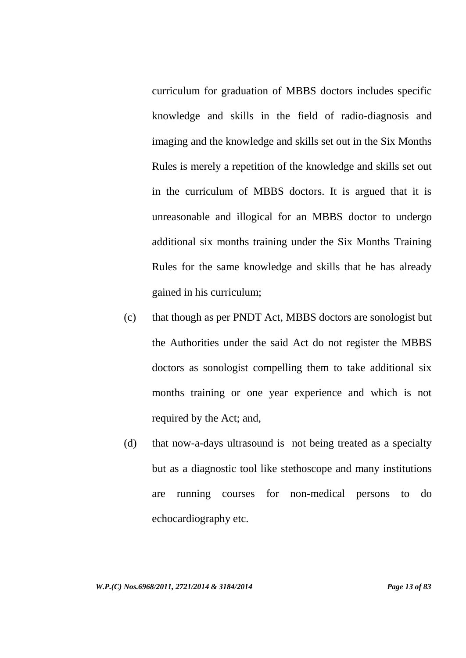curriculum for graduation of MBBS doctors includes specific knowledge and skills in the field of radio-diagnosis and imaging and the knowledge and skills set out in the Six Months Rules is merely a repetition of the knowledge and skills set out in the curriculum of MBBS doctors. It is argued that it is unreasonable and illogical for an MBBS doctor to undergo additional six months training under the Six Months Training Rules for the same knowledge and skills that he has already gained in his curriculum;

- (c) that though as per PNDT Act, MBBS doctors are sonologist but the Authorities under the said Act do not register the MBBS doctors as sonologist compelling them to take additional six months training or one year experience and which is not required by the Act; and,
- (d) that now-a-days ultrasound is not being treated as a specialty but as a diagnostic tool like stethoscope and many institutions are running courses for non-medical persons to do echocardiography etc.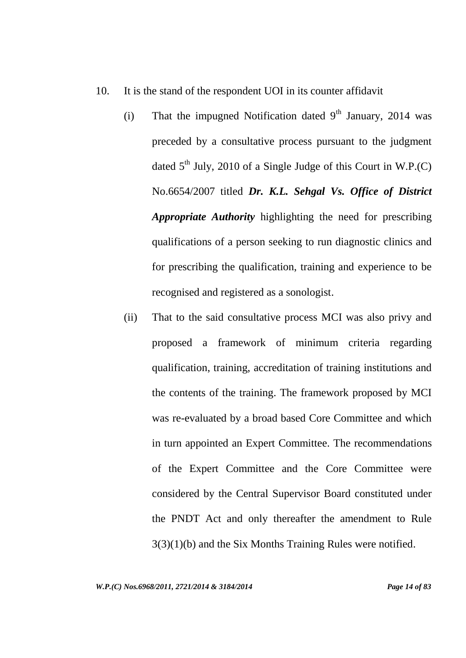- 10. It is the stand of the respondent UOI in its counter affidavit
	- (i) That the impugned Notification dated  $9<sup>th</sup>$  January, 2014 was preceded by a consultative process pursuant to the judgment dated  $5<sup>th</sup>$  July, 2010 of a Single Judge of this Court in W.P.(C) No.6654/2007 titled *Dr. K.L. Sehgal Vs. Office of District Appropriate Authority* highlighting the need for prescribing qualifications of a person seeking to run diagnostic clinics and for prescribing the qualification, training and experience to be recognised and registered as a sonologist.
	- (ii) That to the said consultative process MCI was also privy and proposed a framework of minimum criteria regarding qualification, training, accreditation of training institutions and the contents of the training. The framework proposed by MCI was re-evaluated by a broad based Core Committee and which in turn appointed an Expert Committee. The recommendations of the Expert Committee and the Core Committee were considered by the Central Supervisor Board constituted under the PNDT Act and only thereafter the amendment to Rule 3(3)(1)(b) and the Six Months Training Rules were notified.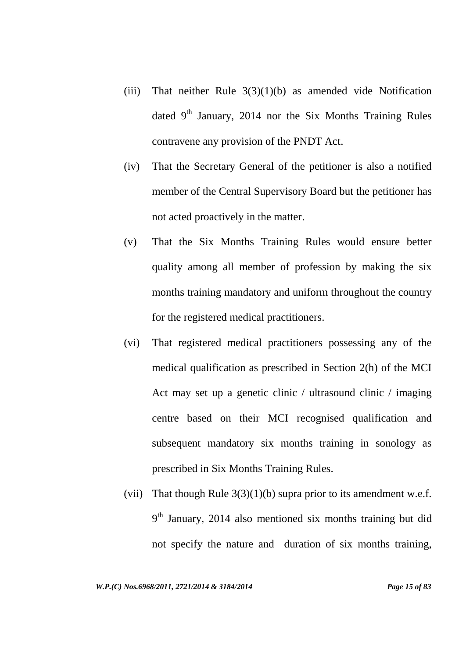- (iii) That neither Rule  $3(3)(1)(b)$  as amended vide Notification dated  $9<sup>th</sup>$  January, 2014 nor the Six Months Training Rules contravene any provision of the PNDT Act.
- (iv) That the Secretary General of the petitioner is also a notified member of the Central Supervisory Board but the petitioner has not acted proactively in the matter.
- (v) That the Six Months Training Rules would ensure better quality among all member of profession by making the six months training mandatory and uniform throughout the country for the registered medical practitioners.
- (vi) That registered medical practitioners possessing any of the medical qualification as prescribed in Section 2(h) of the MCI Act may set up a genetic clinic / ultrasound clinic / imaging centre based on their MCI recognised qualification and subsequent mandatory six months training in sonology as prescribed in Six Months Training Rules.
- (vii) That though Rule  $3(3)(1)(b)$  supra prior to its amendment w.e.f. 9<sup>th</sup> January, 2014 also mentioned six months training but did not specify the nature and duration of six months training,

*W.P.(C) Nos.6968/2011, 2721/2014 & 3184/2014 Page 15 of 83*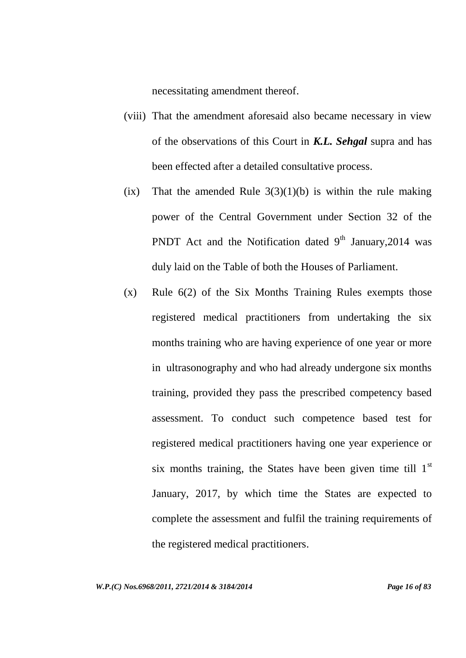necessitating amendment thereof.

- (viii) That the amendment aforesaid also became necessary in view of the observations of this Court in *K.L. Sehgal* supra and has been effected after a detailed consultative process.
- (ix) That the amended Rule  $3(3)(1)(b)$  is within the rule making power of the Central Government under Section 32 of the PNDT Act and the Notification dated  $9<sup>th</sup>$  January, 2014 was duly laid on the Table of both the Houses of Parliament.
- (x) Rule 6(2) of the Six Months Training Rules exempts those registered medical practitioners from undertaking the six months training who are having experience of one year or more in ultrasonography and who had already undergone six months training, provided they pass the prescribed competency based assessment. To conduct such competence based test for registered medical practitioners having one year experience or six months training, the States have been given time till  $1<sup>st</sup>$ January, 2017, by which time the States are expected to complete the assessment and fulfil the training requirements of the registered medical practitioners.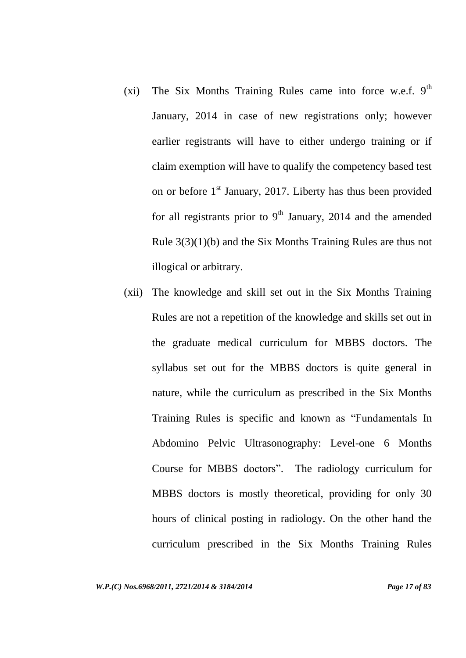- (xi) The Six Months Training Rules came into force w.e.f.  $9<sup>th</sup>$ January, 2014 in case of new registrations only; however earlier registrants will have to either undergo training or if claim exemption will have to qualify the competency based test on or before  $1<sup>st</sup>$  January, 2017. Liberty has thus been provided for all registrants prior to  $9<sup>th</sup>$  January, 2014 and the amended Rule 3(3)(1)(b) and the Six Months Training Rules are thus not illogical or arbitrary.
- (xii) The knowledge and skill set out in the Six Months Training Rules are not a repetition of the knowledge and skills set out in the graduate medical curriculum for MBBS doctors. The syllabus set out for the MBBS doctors is quite general in nature, while the curriculum as prescribed in the Six Months Training Rules is specific and known as "Fundamentals In Abdomino Pelvic Ultrasonography: Level-one 6 Months Course for MBBS doctors". The radiology curriculum for MBBS doctors is mostly theoretical, providing for only 30 hours of clinical posting in radiology. On the other hand the curriculum prescribed in the Six Months Training Rules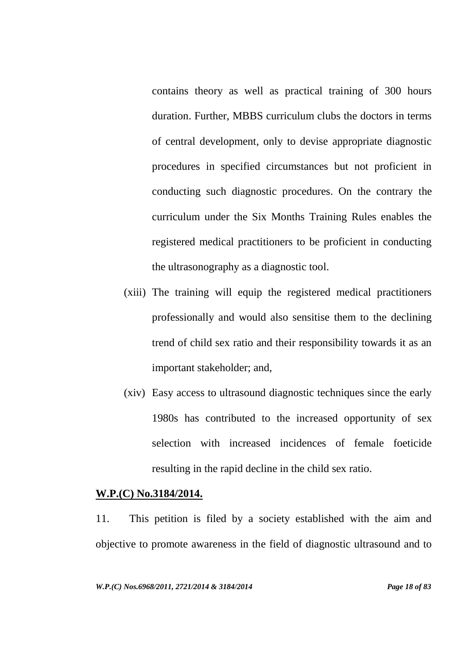contains theory as well as practical training of 300 hours duration. Further, MBBS curriculum clubs the doctors in terms of central development, only to devise appropriate diagnostic procedures in specified circumstances but not proficient in conducting such diagnostic procedures. On the contrary the curriculum under the Six Months Training Rules enables the registered medical practitioners to be proficient in conducting the ultrasonography as a diagnostic tool.

- (xiii) The training will equip the registered medical practitioners professionally and would also sensitise them to the declining trend of child sex ratio and their responsibility towards it as an important stakeholder; and,
- (xiv) Easy access to ultrasound diagnostic techniques since the early 1980s has contributed to the increased opportunity of sex selection with increased incidences of female foeticide resulting in the rapid decline in the child sex ratio.

#### **W.P.(C) No.3184/2014.**

11. This petition is filed by a society established with the aim and objective to promote awareness in the field of diagnostic ultrasound and to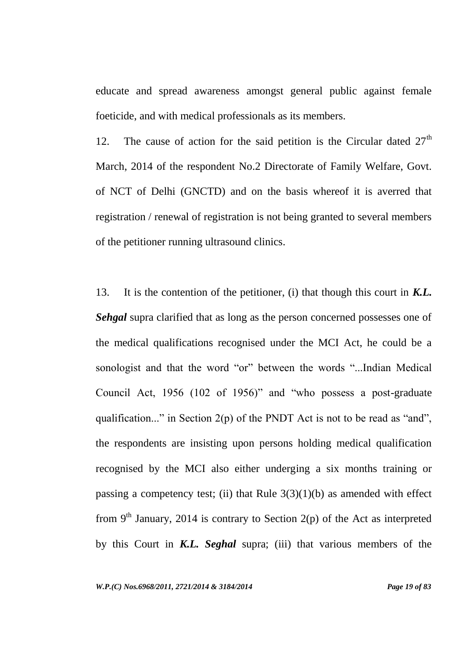educate and spread awareness amongst general public against female foeticide, and with medical professionals as its members.

12. The cause of action for the said petition is the Circular dated  $27<sup>th</sup>$ March, 2014 of the respondent No.2 Directorate of Family Welfare, Govt. of NCT of Delhi (GNCTD) and on the basis whereof it is averred that registration / renewal of registration is not being granted to several members of the petitioner running ultrasound clinics.

13. It is the contention of the petitioner, (i) that though this court in *K.L. Sehgal* supra clarified that as long as the person concerned possesses one of the medical qualifications recognised under the MCI Act, he could be a sonologist and that the word "or" between the words "...Indian Medical Council Act, 1956 (102 of 1956)" and "who possess a post-graduate qualification..." in Section 2(p) of the PNDT Act is not to be read as "and", the respondents are insisting upon persons holding medical qualification recognised by the MCI also either underging a six months training or passing a competency test; (ii) that Rule  $3(3)(1)(b)$  as amended with effect from 9<sup>th</sup> January, 2014 is contrary to Section 2(p) of the Act as interpreted by this Court in *K.L. Seghal* supra; (iii) that various members of the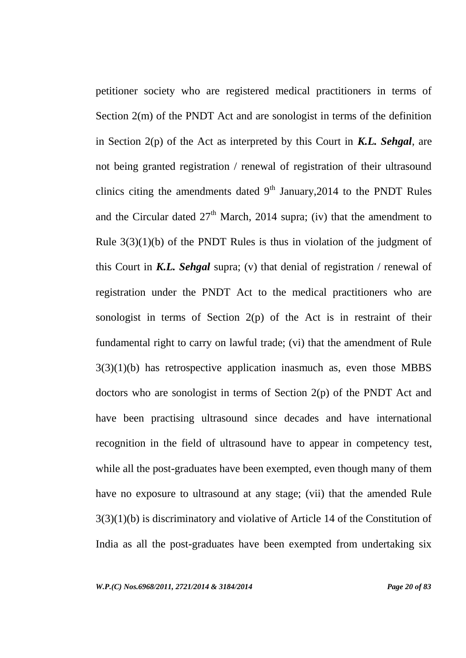petitioner society who are registered medical practitioners in terms of Section 2(m) of the PNDT Act and are sonologist in terms of the definition in Section 2(p) of the Act as interpreted by this Court in *K.L. Sehgal*, are not being granted registration / renewal of registration of their ultrasound clinics citing the amendments dated  $9<sup>th</sup>$  January, 2014 to the PNDT Rules and the Circular dated  $27<sup>th</sup>$  March, 2014 supra; (iv) that the amendment to Rule  $3(3)(1)(b)$  of the PNDT Rules is thus in violation of the judgment of this Court in *K.L. Sehgal* supra; (v) that denial of registration / renewal of registration under the PNDT Act to the medical practitioners who are sonologist in terms of Section  $2(p)$  of the Act is in restraint of their fundamental right to carry on lawful trade; (vi) that the amendment of Rule  $3(3)(1)(b)$  has retrospective application inasmuch as, even those MBBS doctors who are sonologist in terms of Section 2(p) of the PNDT Act and have been practising ultrasound since decades and have international recognition in the field of ultrasound have to appear in competency test, while all the post-graduates have been exempted, even though many of them have no exposure to ultrasound at any stage; (vii) that the amended Rule 3(3)(1)(b) is discriminatory and violative of Article 14 of the Constitution of India as all the post-graduates have been exempted from undertaking six

*W.P.(C) Nos.6968/2011, 2721/2014 & 3184/2014 Page 20 of 83*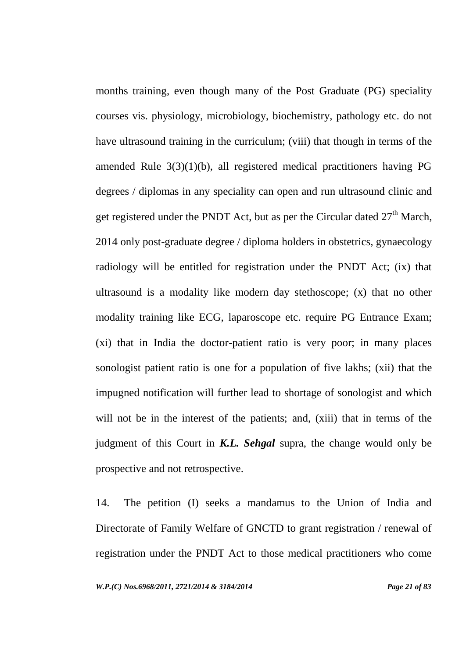months training, even though many of the Post Graduate (PG) speciality courses vis. physiology, microbiology, biochemistry, pathology etc. do not have ultrasound training in the curriculum; (viii) that though in terms of the amended Rule 3(3)(1)(b), all registered medical practitioners having PG degrees / diplomas in any speciality can open and run ultrasound clinic and get registered under the PNDT Act, but as per the Circular dated  $27<sup>th</sup>$  March, 2014 only post-graduate degree / diploma holders in obstetrics, gynaecology radiology will be entitled for registration under the PNDT Act; (ix) that ultrasound is a modality like modern day stethoscope; (x) that no other modality training like ECG, laparoscope etc. require PG Entrance Exam; (xi) that in India the doctor-patient ratio is very poor; in many places sonologist patient ratio is one for a population of five lakhs; (xii) that the impugned notification will further lead to shortage of sonologist and which will not be in the interest of the patients; and, (xiii) that in terms of the judgment of this Court in *K.L. Sehgal* supra, the change would only be prospective and not retrospective.

14. The petition (I) seeks a mandamus to the Union of India and Directorate of Family Welfare of GNCTD to grant registration / renewal of registration under the PNDT Act to those medical practitioners who come

*W.P.(C) Nos.6968/2011, 2721/2014 & 3184/2014 Page 21 of 83*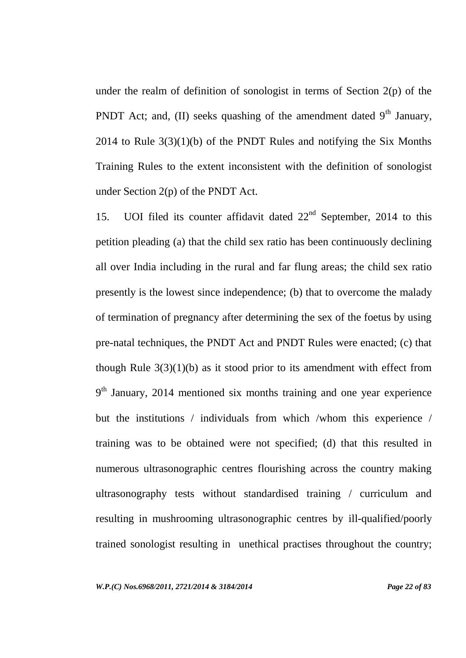under the realm of definition of sonologist in terms of Section  $2(p)$  of the PNDT Act; and, (II) seeks quashing of the amendment dated  $9<sup>th</sup>$  January, 2014 to Rule 3(3)(1)(b) of the PNDT Rules and notifying the Six Months Training Rules to the extent inconsistent with the definition of sonologist under Section 2(p) of the PNDT Act.

15. UOI filed its counter affidavit dated  $22<sup>nd</sup>$  September, 2014 to this petition pleading (a) that the child sex ratio has been continuously declining all over India including in the rural and far flung areas; the child sex ratio presently is the lowest since independence; (b) that to overcome the malady of termination of pregnancy after determining the sex of the foetus by using pre-natal techniques, the PNDT Act and PNDT Rules were enacted; (c) that though Rule  $3(3)(1)(b)$  as it stood prior to its amendment with effect from  $9<sup>th</sup>$  January, 2014 mentioned six months training and one year experience but the institutions / individuals from which /whom this experience / training was to be obtained were not specified; (d) that this resulted in numerous ultrasonographic centres flourishing across the country making ultrasonography tests without standardised training / curriculum and resulting in mushrooming ultrasonographic centres by ill-qualified/poorly trained sonologist resulting in unethical practises throughout the country;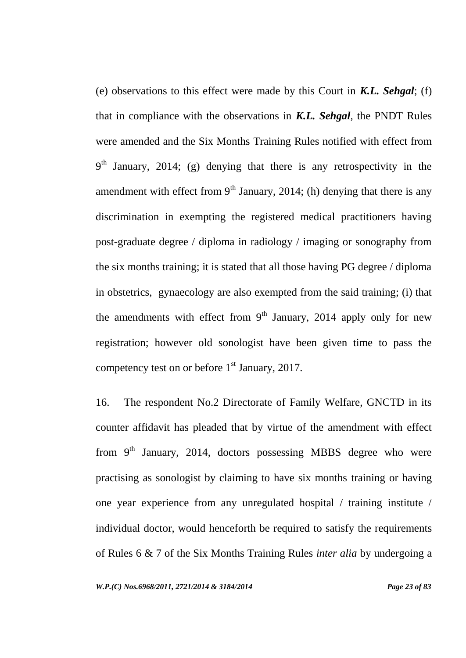(e) observations to this effect were made by this Court in *K.L. Sehgal*; (f) that in compliance with the observations in *K.L. Sehgal*, the PNDT Rules were amended and the Six Months Training Rules notified with effect from  $9<sup>th</sup>$  January, 2014; (g) denying that there is any retrospectivity in the amendment with effect from  $9<sup>th</sup>$  January, 2014; (h) denying that there is any discrimination in exempting the registered medical practitioners having post-graduate degree / diploma in radiology / imaging or sonography from the six months training; it is stated that all those having PG degree / diploma in obstetrics, gynaecology are also exempted from the said training; (i) that the amendments with effect from  $9<sup>th</sup>$  January, 2014 apply only for new registration; however old sonologist have been given time to pass the competency test on or before  $1<sup>st</sup>$  January, 2017.

16. The respondent No.2 Directorate of Family Welfare, GNCTD in its counter affidavit has pleaded that by virtue of the amendment with effect from  $9<sup>th</sup>$  January, 2014, doctors possessing MBBS degree who were practising as sonologist by claiming to have six months training or having one year experience from any unregulated hospital / training institute / individual doctor, would henceforth be required to satisfy the requirements of Rules 6 & 7 of the Six Months Training Rules *inter alia* by undergoing a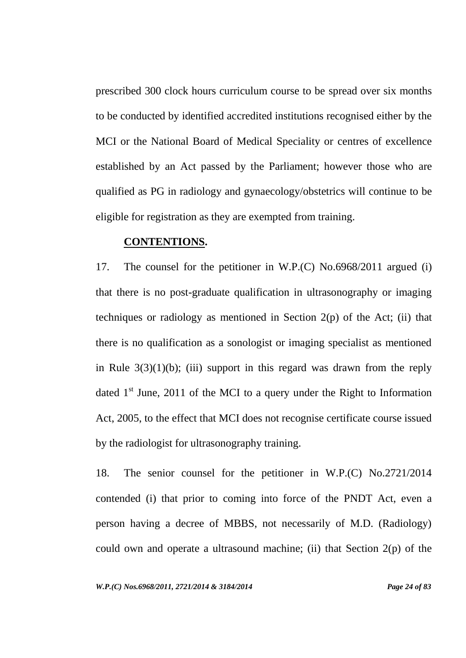prescribed 300 clock hours curriculum course to be spread over six months to be conducted by identified accredited institutions recognised either by the MCI or the National Board of Medical Speciality or centres of excellence established by an Act passed by the Parliament; however those who are qualified as PG in radiology and gynaecology/obstetrics will continue to be eligible for registration as they are exempted from training.

#### **CONTENTIONS.**

17. The counsel for the petitioner in W.P.(C) No.6968/2011 argued (i) that there is no post-graduate qualification in ultrasonography or imaging techniques or radiology as mentioned in Section  $2(p)$  of the Act; (ii) that there is no qualification as a sonologist or imaging specialist as mentioned in Rule  $3(3)(1)(b)$ ; (iii) support in this regard was drawn from the reply dated  $1<sup>st</sup>$  June, 2011 of the MCI to a query under the Right to Information Act, 2005, to the effect that MCI does not recognise certificate course issued by the radiologist for ultrasonography training.

18. The senior counsel for the petitioner in W.P.(C) No.2721/2014 contended (i) that prior to coming into force of the PNDT Act, even a person having a decree of MBBS, not necessarily of M.D. (Radiology) could own and operate a ultrasound machine; (ii) that Section 2(p) of the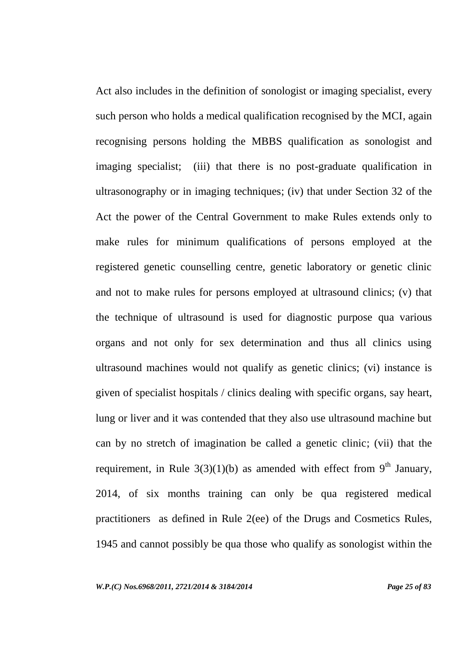Act also includes in the definition of sonologist or imaging specialist, every such person who holds a medical qualification recognised by the MCI, again recognising persons holding the MBBS qualification as sonologist and imaging specialist; (iii) that there is no post-graduate qualification in ultrasonography or in imaging techniques; (iv) that under Section 32 of the Act the power of the Central Government to make Rules extends only to make rules for minimum qualifications of persons employed at the registered genetic counselling centre, genetic laboratory or genetic clinic and not to make rules for persons employed at ultrasound clinics; (v) that the technique of ultrasound is used for diagnostic purpose qua various organs and not only for sex determination and thus all clinics using ultrasound machines would not qualify as genetic clinics; (vi) instance is given of specialist hospitals / clinics dealing with specific organs, say heart, lung or liver and it was contended that they also use ultrasound machine but can by no stretch of imagination be called a genetic clinic; (vii) that the requirement, in Rule  $3(3)(1)(b)$  as amended with effect from 9<sup>th</sup> January, 2014, of six months training can only be qua registered medical practitioners as defined in Rule 2(ee) of the Drugs and Cosmetics Rules, 1945 and cannot possibly be qua those who qualify as sonologist within the

*W.P.(C) Nos.6968/2011, 2721/2014 & 3184/2014 Page 25 of 83*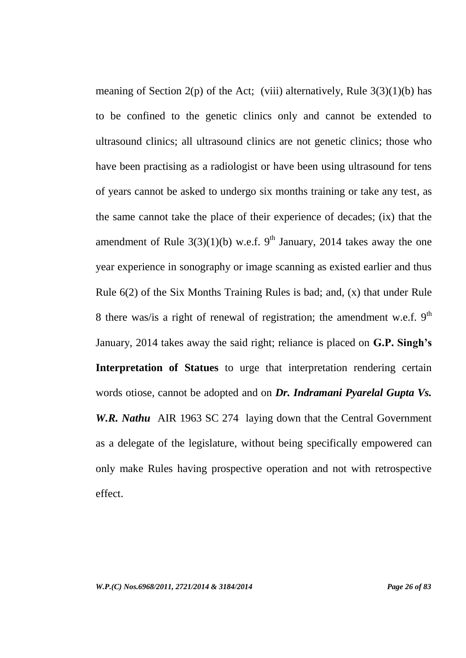meaning of Section 2(p) of the Act; (viii) alternatively, Rule  $3(3)(1)(b)$  has to be confined to the genetic clinics only and cannot be extended to ultrasound clinics; all ultrasound clinics are not genetic clinics; those who have been practising as a radiologist or have been using ultrasound for tens of years cannot be asked to undergo six months training or take any test, as the same cannot take the place of their experience of decades; (ix) that the amendment of Rule  $3(3)(1)(b)$  w.e.f. 9<sup>th</sup> January, 2014 takes away the one year experience in sonography or image scanning as existed earlier and thus Rule 6(2) of the Six Months Training Rules is bad; and, (x) that under Rule 8 there was/is a right of renewal of registration; the amendment w.e.f.  $9<sup>th</sup>$ January, 2014 takes away the said right; reliance is placed on **G.P. Singh's Interpretation of Statues** to urge that interpretation rendering certain words otiose, cannot be adopted and on *Dr. Indramani Pyarelal Gupta Vs. W.R. Nathu* AIR 1963 SC 274 laying down that the Central Government as a delegate of the legislature, without being specifically empowered can only make Rules having prospective operation and not with retrospective effect.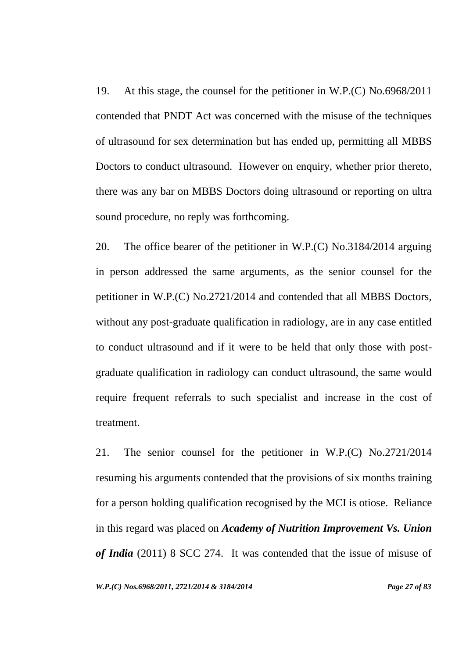19. At this stage, the counsel for the petitioner in W.P.(C) No.6968/2011 contended that PNDT Act was concerned with the misuse of the techniques of ultrasound for sex determination but has ended up, permitting all MBBS Doctors to conduct ultrasound. However on enquiry, whether prior thereto, there was any bar on MBBS Doctors doing ultrasound or reporting on ultra sound procedure, no reply was forthcoming.

20. The office bearer of the petitioner in W.P.(C) No.3184/2014 arguing in person addressed the same arguments, as the senior counsel for the petitioner in W.P.(C) No.2721/2014 and contended that all MBBS Doctors, without any post-graduate qualification in radiology, are in any case entitled to conduct ultrasound and if it were to be held that only those with postgraduate qualification in radiology can conduct ultrasound, the same would require frequent referrals to such specialist and increase in the cost of treatment.

21. The senior counsel for the petitioner in W.P.(C) No.2721/2014 resuming his arguments contended that the provisions of six months training for a person holding qualification recognised by the MCI is otiose. Reliance in this regard was placed on *Academy of Nutrition Improvement Vs. Union of India* (2011) 8 SCC 274. It was contended that the issue of misuse of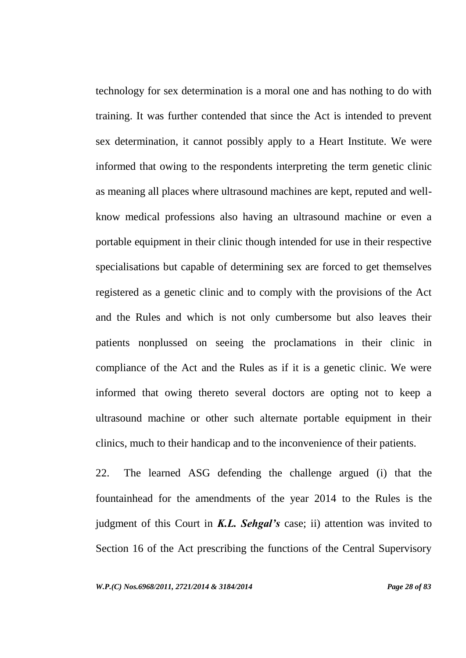technology for sex determination is a moral one and has nothing to do with training. It was further contended that since the Act is intended to prevent sex determination, it cannot possibly apply to a Heart Institute. We were informed that owing to the respondents interpreting the term genetic clinic as meaning all places where ultrasound machines are kept, reputed and wellknow medical professions also having an ultrasound machine or even a portable equipment in their clinic though intended for use in their respective specialisations but capable of determining sex are forced to get themselves registered as a genetic clinic and to comply with the provisions of the Act and the Rules and which is not only cumbersome but also leaves their patients nonplussed on seeing the proclamations in their clinic in compliance of the Act and the Rules as if it is a genetic clinic. We were informed that owing thereto several doctors are opting not to keep a ultrasound machine or other such alternate portable equipment in their clinics, much to their handicap and to the inconvenience of their patients.

22. The learned ASG defending the challenge argued (i) that the fountainhead for the amendments of the year 2014 to the Rules is the judgment of this Court in *K.L. Sehgal's* case; ii) attention was invited to Section 16 of the Act prescribing the functions of the Central Supervisory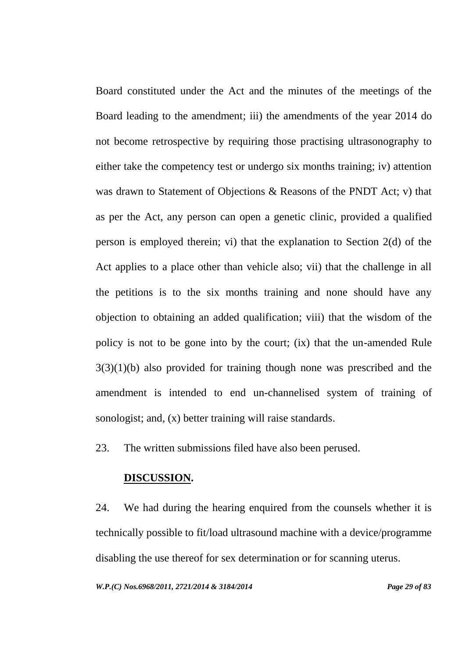Board constituted under the Act and the minutes of the meetings of the Board leading to the amendment; iii) the amendments of the year 2014 do not become retrospective by requiring those practising ultrasonography to either take the competency test or undergo six months training; iv) attention was drawn to Statement of Objections & Reasons of the PNDT Act; v) that as per the Act, any person can open a genetic clinic, provided a qualified person is employed therein; vi) that the explanation to Section 2(d) of the Act applies to a place other than vehicle also; vii) that the challenge in all the petitions is to the six months training and none should have any objection to obtaining an added qualification; viii) that the wisdom of the policy is not to be gone into by the court; (ix) that the un-amended Rule  $3(3)(1)(b)$  also provided for training though none was prescribed and the amendment is intended to end un-channelised system of training of sonologist; and, (x) better training will raise standards.

23. The written submissions filed have also been perused.

# **DISCUSSION.**

24. We had during the hearing enquired from the counsels whether it is technically possible to fit/load ultrasound machine with a device/programme disabling the use thereof for sex determination or for scanning uterus.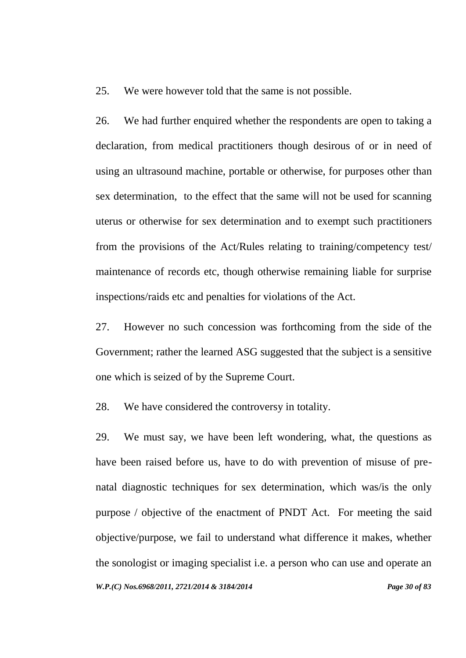25. We were however told that the same is not possible.

26. We had further enquired whether the respondents are open to taking a declaration, from medical practitioners though desirous of or in need of using an ultrasound machine, portable or otherwise, for purposes other than sex determination, to the effect that the same will not be used for scanning uterus or otherwise for sex determination and to exempt such practitioners from the provisions of the Act/Rules relating to training/competency test/ maintenance of records etc, though otherwise remaining liable for surprise inspections/raids etc and penalties for violations of the Act.

27. However no such concession was forthcoming from the side of the Government; rather the learned ASG suggested that the subject is a sensitive one which is seized of by the Supreme Court.

28. We have considered the controversy in totality.

*W.P.(C) Nos.6968/2011, 2721/2014 & 3184/2014 Page 30 of 83* 29. We must say, we have been left wondering, what, the questions as have been raised before us, have to do with prevention of misuse of prenatal diagnostic techniques for sex determination, which was/is the only purpose / objective of the enactment of PNDT Act. For meeting the said objective/purpose, we fail to understand what difference it makes, whether the sonologist or imaging specialist i.e. a person who can use and operate an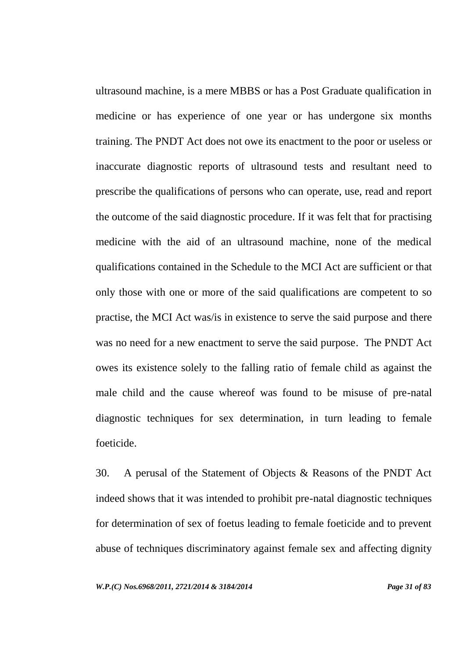ultrasound machine, is a mere MBBS or has a Post Graduate qualification in medicine or has experience of one year or has undergone six months training. The PNDT Act does not owe its enactment to the poor or useless or inaccurate diagnostic reports of ultrasound tests and resultant need to prescribe the qualifications of persons who can operate, use, read and report the outcome of the said diagnostic procedure. If it was felt that for practising medicine with the aid of an ultrasound machine, none of the medical qualifications contained in the Schedule to the MCI Act are sufficient or that only those with one or more of the said qualifications are competent to so practise, the MCI Act was/is in existence to serve the said purpose and there was no need for a new enactment to serve the said purpose. The PNDT Act owes its existence solely to the falling ratio of female child as against the male child and the cause whereof was found to be misuse of pre-natal diagnostic techniques for sex determination, in turn leading to female foeticide.

30. A perusal of the Statement of Objects & Reasons of the PNDT Act indeed shows that it was intended to prohibit pre-natal diagnostic techniques for determination of sex of foetus leading to female foeticide and to prevent abuse of techniques discriminatory against female sex and affecting dignity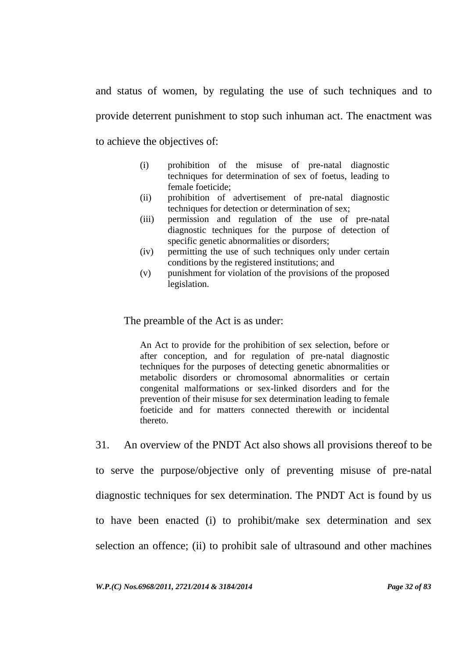and status of women, by regulating the use of such techniques and to provide deterrent punishment to stop such inhuman act. The enactment was to achieve the objectives of:

- (i) prohibition of the misuse of pre-natal diagnostic techniques for determination of sex of foetus, leading to female foeticide;
- (ii) prohibition of advertisement of pre-natal diagnostic techniques for detection or determination of sex;
- (iii) permission and regulation of the use of pre-natal diagnostic techniques for the purpose of detection of specific genetic abnormalities or disorders;
- (iv) permitting the use of such techniques only under certain conditions by the registered institutions; and
- (v) punishment for violation of the provisions of the proposed legislation.

#### The preamble of the Act is as under:

An Act to provide for the prohibition of sex selection, before or after conception, and for regulation of pre-natal diagnostic techniques for the purposes of detecting genetic abnormalities or metabolic disorders or chromosomal abnormalities or certain congenital malformations or sex-linked disorders and for the prevention of their misuse for sex determination leading to female foeticide and for matters connected therewith or incidental thereto.

31. An overview of the PNDT Act also shows all provisions thereof to be

to serve the purpose/objective only of preventing misuse of pre-natal diagnostic techniques for sex determination. The PNDT Act is found by us to have been enacted (i) to prohibit/make sex determination and sex selection an offence; (ii) to prohibit sale of ultrasound and other machines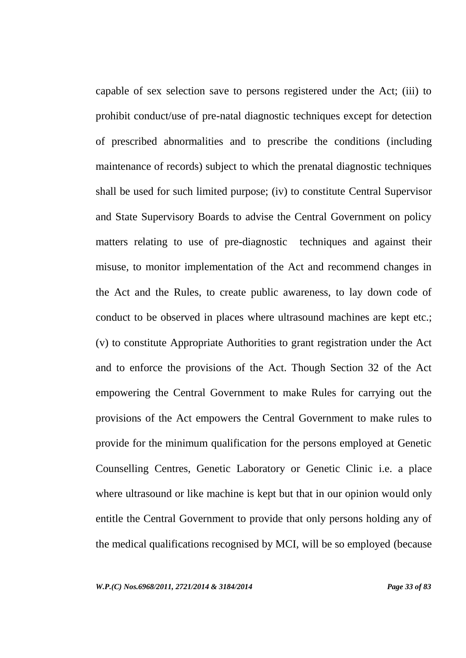capable of sex selection save to persons registered under the Act; (iii) to prohibit conduct/use of pre-natal diagnostic techniques except for detection of prescribed abnormalities and to prescribe the conditions (including maintenance of records) subject to which the prenatal diagnostic techniques shall be used for such limited purpose; (iv) to constitute Central Supervisor and State Supervisory Boards to advise the Central Government on policy matters relating to use of pre-diagnostic techniques and against their misuse, to monitor implementation of the Act and recommend changes in the Act and the Rules, to create public awareness, to lay down code of conduct to be observed in places where ultrasound machines are kept etc.; (v) to constitute Appropriate Authorities to grant registration under the Act and to enforce the provisions of the Act. Though Section 32 of the Act empowering the Central Government to make Rules for carrying out the provisions of the Act empowers the Central Government to make rules to provide for the minimum qualification for the persons employed at Genetic Counselling Centres, Genetic Laboratory or Genetic Clinic i.e. a place where ultrasound or like machine is kept but that in our opinion would only entitle the Central Government to provide that only persons holding any of the medical qualifications recognised by MCI, will be so employed (because

*W.P.(C) Nos.6968/2011, 2721/2014 & 3184/2014 Page 33 of 83*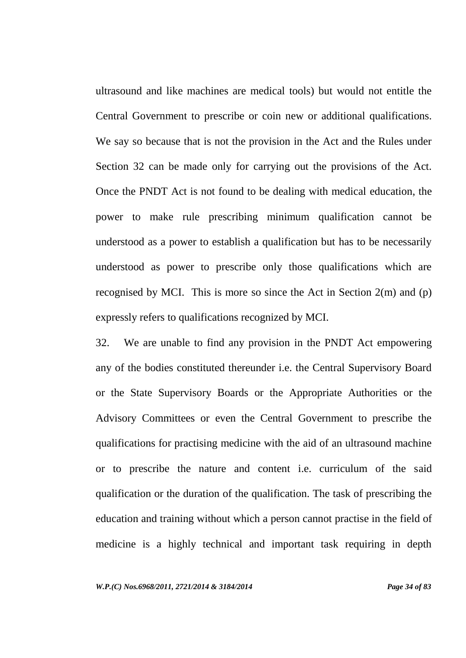ultrasound and like machines are medical tools) but would not entitle the Central Government to prescribe or coin new or additional qualifications. We say so because that is not the provision in the Act and the Rules under Section 32 can be made only for carrying out the provisions of the Act. Once the PNDT Act is not found to be dealing with medical education, the power to make rule prescribing minimum qualification cannot be understood as a power to establish a qualification but has to be necessarily understood as power to prescribe only those qualifications which are recognised by MCI. This is more so since the Act in Section 2(m) and (p) expressly refers to qualifications recognized by MCI.

32. We are unable to find any provision in the PNDT Act empowering any of the bodies constituted thereunder i.e. the Central Supervisory Board or the State Supervisory Boards or the Appropriate Authorities or the Advisory Committees or even the Central Government to prescribe the qualifications for practising medicine with the aid of an ultrasound machine or to prescribe the nature and content i.e. curriculum of the said qualification or the duration of the qualification. The task of prescribing the education and training without which a person cannot practise in the field of medicine is a highly technical and important task requiring in depth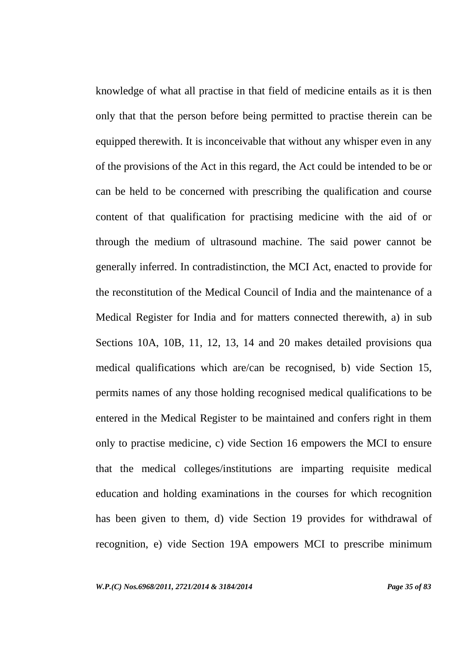knowledge of what all practise in that field of medicine entails as it is then only that that the person before being permitted to practise therein can be equipped therewith. It is inconceivable that without any whisper even in any of the provisions of the Act in this regard, the Act could be intended to be or can be held to be concerned with prescribing the qualification and course content of that qualification for practising medicine with the aid of or through the medium of ultrasound machine. The said power cannot be generally inferred. In contradistinction, the MCI Act, enacted to provide for the reconstitution of the Medical Council of India and the maintenance of a Medical Register for India and for matters connected therewith, a) in sub Sections 10A, 10B, 11, 12, 13, 14 and 20 makes detailed provisions qua medical qualifications which are/can be recognised, b) vide Section 15, permits names of any those holding recognised medical qualifications to be entered in the Medical Register to be maintained and confers right in them only to practise medicine, c) vide Section 16 empowers the MCI to ensure that the medical colleges/institutions are imparting requisite medical education and holding examinations in the courses for which recognition has been given to them, d) vide Section 19 provides for withdrawal of recognition, e) vide Section 19A empowers MCI to prescribe minimum

*W.P.(C) Nos.6968/2011, 2721/2014 & 3184/2014 Page 35 of 83*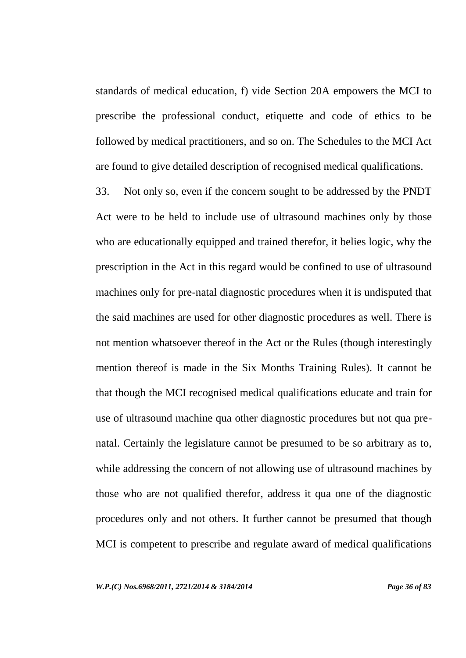standards of medical education, f) vide Section 20A empowers the MCI to prescribe the professional conduct, etiquette and code of ethics to be followed by medical practitioners, and so on. The Schedules to the MCI Act are found to give detailed description of recognised medical qualifications.

33. Not only so, even if the concern sought to be addressed by the PNDT Act were to be held to include use of ultrasound machines only by those who are educationally equipped and trained therefor, it belies logic, why the prescription in the Act in this regard would be confined to use of ultrasound machines only for pre-natal diagnostic procedures when it is undisputed that the said machines are used for other diagnostic procedures as well. There is not mention whatsoever thereof in the Act or the Rules (though interestingly mention thereof is made in the Six Months Training Rules). It cannot be that though the MCI recognised medical qualifications educate and train for use of ultrasound machine qua other diagnostic procedures but not qua prenatal. Certainly the legislature cannot be presumed to be so arbitrary as to, while addressing the concern of not allowing use of ultrasound machines by those who are not qualified therefor, address it qua one of the diagnostic procedures only and not others. It further cannot be presumed that though MCI is competent to prescribe and regulate award of medical qualifications

*W.P.(C) Nos.6968/2011, 2721/2014 & 3184/2014 Page 36 of 83*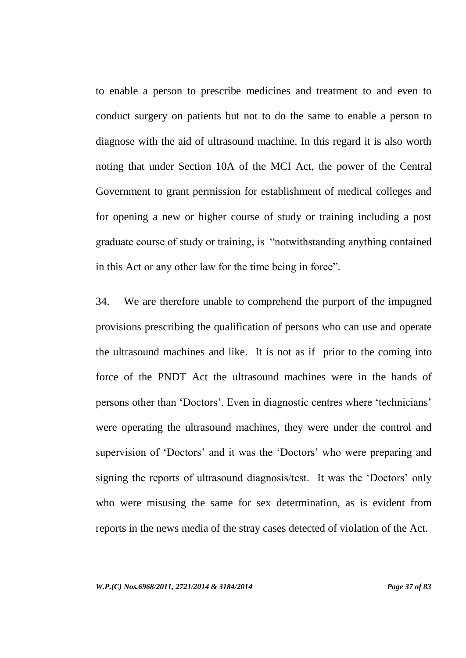to enable a person to prescribe medicines and treatment to and even to conduct surgery on patients but not to do the same to enable a person to diagnose with the aid of ultrasound machine. In this regard it is also worth noting that under Section 10A of the MCI Act, the power of the Central Government to grant permission for establishment of medical colleges and for opening a new or higher course of study or training including a post graduate course of study or training, is "notwithstanding anything contained in this Act or any other law for the time being in force".

34. We are therefore unable to comprehend the purport of the impugned provisions prescribing the qualification of persons who can use and operate the ultrasound machines and like. It is not as if prior to the coming into force of the PNDT Act the ultrasound machines were in the hands of persons other than "Doctors". Even in diagnostic centres where "technicians" were operating the ultrasound machines, they were under the control and supervision of 'Doctors' and it was the 'Doctors' who were preparing and signing the reports of ultrasound diagnosis/test. It was the 'Doctors' only who were misusing the same for sex determination, as is evident from reports in the news media of the stray cases detected of violation of the Act.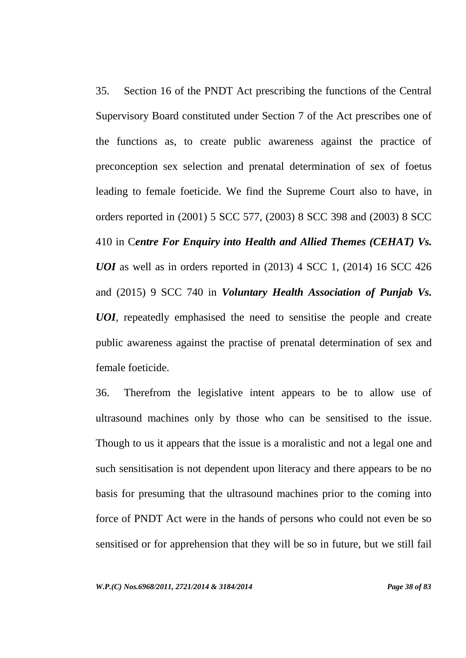35. Section 16 of the PNDT Act prescribing the functions of the Central Supervisory Board constituted under Section 7 of the Act prescribes one of the functions as, to create public awareness against the practice of preconception sex selection and prenatal determination of sex of foetus leading to female foeticide. We find the Supreme Court also to have, in orders reported in (2001) 5 SCC 577, (2003) 8 SCC 398 and (2003) 8 SCC 410 in C*entre For Enquiry into Health and Allied Themes (CEHAT) Vs. UOI* as well as in orders reported in (2013) 4 SCC 1, (2014) 16 SCC 426 and (2015) 9 SCC 740 in *Voluntary Health Association of Punjab Vs. UOI*, repeatedly emphasised the need to sensitise the people and create public awareness against the practise of prenatal determination of sex and female foeticide.

36. Therefrom the legislative intent appears to be to allow use of ultrasound machines only by those who can be sensitised to the issue. Though to us it appears that the issue is a moralistic and not a legal one and such sensitisation is not dependent upon literacy and there appears to be no basis for presuming that the ultrasound machines prior to the coming into force of PNDT Act were in the hands of persons who could not even be so sensitised or for apprehension that they will be so in future, but we still fail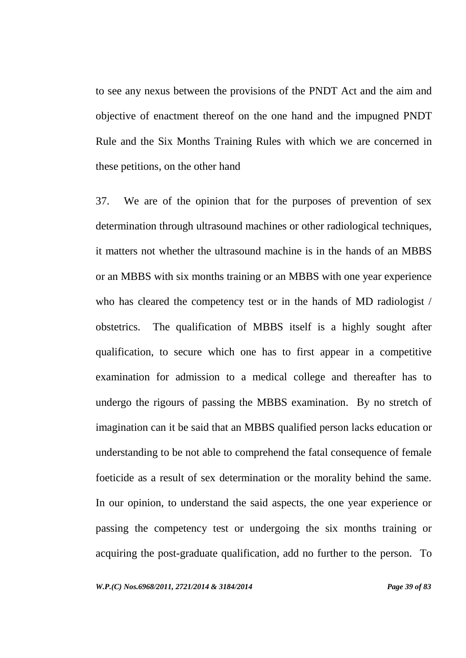to see any nexus between the provisions of the PNDT Act and the aim and objective of enactment thereof on the one hand and the impugned PNDT Rule and the Six Months Training Rules with which we are concerned in these petitions, on the other hand

37. We are of the opinion that for the purposes of prevention of sex determination through ultrasound machines or other radiological techniques, it matters not whether the ultrasound machine is in the hands of an MBBS or an MBBS with six months training or an MBBS with one year experience who has cleared the competency test or in the hands of MD radiologist / obstetrics.The qualification of MBBS itself is a highly sought after qualification, to secure which one has to first appear in a competitive examination for admission to a medical college and thereafter has to undergo the rigours of passing the MBBS examination. By no stretch of imagination can it be said that an MBBS qualified person lacks education or understanding to be not able to comprehend the fatal consequence of female foeticide as a result of sex determination or the morality behind the same. In our opinion, to understand the said aspects, the one year experience or passing the competency test or undergoing the six months training or acquiring the post-graduate qualification, add no further to the person. To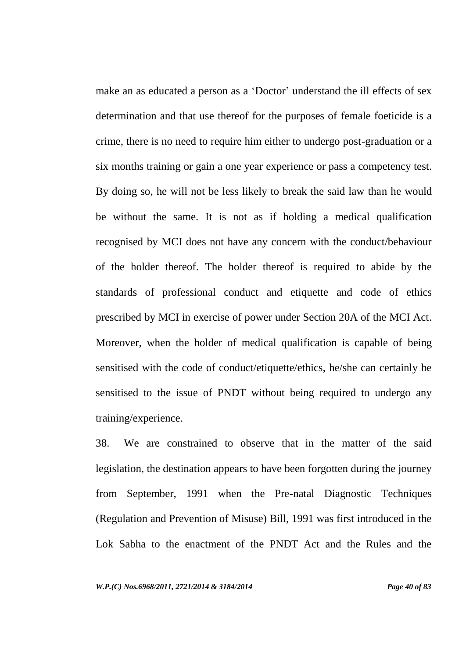make an as educated a person as a 'Doctor' understand the ill effects of sex determination and that use thereof for the purposes of female foeticide is a crime, there is no need to require him either to undergo post-graduation or a six months training or gain a one year experience or pass a competency test. By doing so, he will not be less likely to break the said law than he would be without the same. It is not as if holding a medical qualification recognised by MCI does not have any concern with the conduct/behaviour of the holder thereof. The holder thereof is required to abide by the standards of professional conduct and etiquette and code of ethics prescribed by MCI in exercise of power under Section 20A of the MCI Act. Moreover, when the holder of medical qualification is capable of being sensitised with the code of conduct/etiquette/ethics, he/she can certainly be sensitised to the issue of PNDT without being required to undergo any training/experience.

38. We are constrained to observe that in the matter of the said legislation, the destination appears to have been forgotten during the journey from September, 1991 when the Pre-natal Diagnostic Techniques (Regulation and Prevention of Misuse) Bill, 1991 was first introduced in the Lok Sabha to the enactment of the PNDT Act and the Rules and the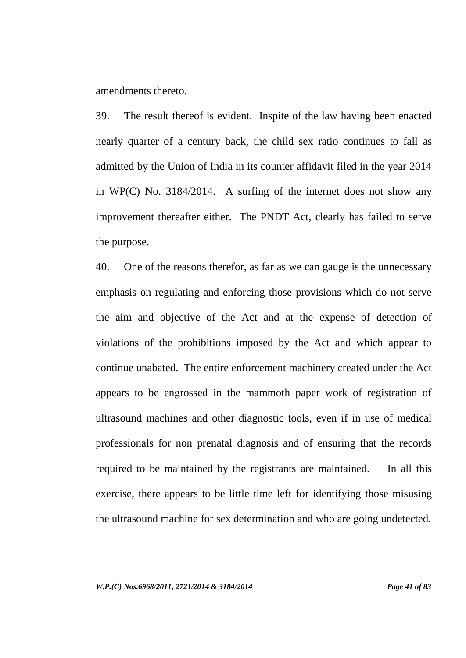amendments thereto.

39. The result thereof is evident. Inspite of the law having been enacted nearly quarter of a century back, the child sex ratio continues to fall as admitted by the Union of India in its counter affidavit filed in the year 2014 in WP(C) No. 3184/2014. A surfing of the internet does not show any improvement thereafter either. The PNDT Act, clearly has failed to serve the purpose.

40. One of the reasons therefor, as far as we can gauge is the unnecessary emphasis on regulating and enforcing those provisions which do not serve the aim and objective of the Act and at the expense of detection of violations of the prohibitions imposed by the Act and which appear to continue unabated. The entire enforcement machinery created under the Act appears to be engrossed in the mammoth paper work of registration of ultrasound machines and other diagnostic tools, even if in use of medical professionals for non prenatal diagnosis and of ensuring that the records required to be maintained by the registrants are maintained. In all this exercise, there appears to be little time left for identifying those misusing the ultrasound machine for sex determination and who are going undetected.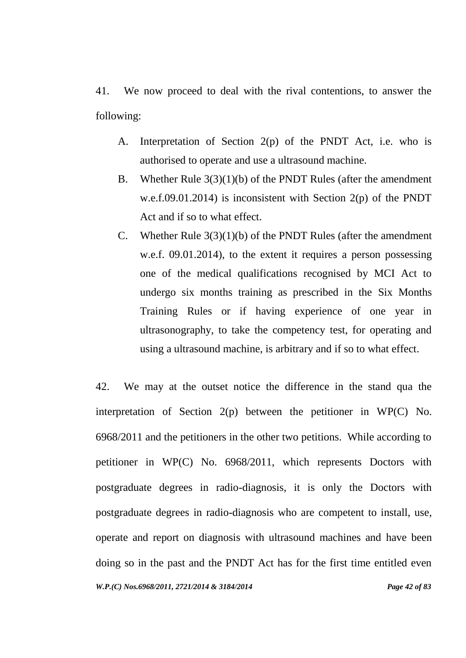41. We now proceed to deal with the rival contentions, to answer the following:

- A. Interpretation of Section 2(p) of the PNDT Act, i.e. who is authorised to operate and use a ultrasound machine.
- B. Whether Rule 3(3)(1)(b) of the PNDT Rules (after the amendment w.e.f.09.01.2014) is inconsistent with Section 2(p) of the PNDT Act and if so to what effect.
- C. Whether Rule 3(3)(1)(b) of the PNDT Rules (after the amendment w.e.f. 09.01.2014), to the extent it requires a person possessing one of the medical qualifications recognised by MCI Act to undergo six months training as prescribed in the Six Months Training Rules or if having experience of one year in ultrasonography, to take the competency test, for operating and using a ultrasound machine, is arbitrary and if so to what effect.

*W.P.(C) Nos.6968/2011, 2721/2014 & 3184/2014 Page 42 of 83* 42. We may at the outset notice the difference in the stand qua the interpretation of Section 2(p) between the petitioner in WP(C) No. 6968/2011 and the petitioners in the other two petitions. While according to petitioner in WP(C) No. 6968/2011, which represents Doctors with postgraduate degrees in radio-diagnosis, it is only the Doctors with postgraduate degrees in radio-diagnosis who are competent to install, use, operate and report on diagnosis with ultrasound machines and have been doing so in the past and the PNDT Act has for the first time entitled even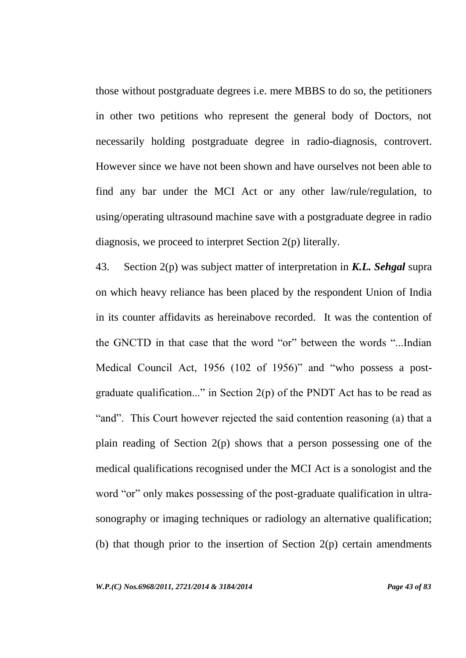those without postgraduate degrees i.e. mere MBBS to do so, the petitioners in other two petitions who represent the general body of Doctors, not necessarily holding postgraduate degree in radio-diagnosis, controvert. However since we have not been shown and have ourselves not been able to find any bar under the MCI Act or any other law/rule/regulation, to using/operating ultrasound machine save with a postgraduate degree in radio diagnosis, we proceed to interpret Section 2(p) literally.

43. Section 2(p) was subject matter of interpretation in *K.L. Sehgal* supra on which heavy reliance has been placed by the respondent Union of India in its counter affidavits as hereinabove recorded. It was the contention of the GNCTD in that case that the word "or" between the words "...Indian Medical Council Act, 1956 (102 of 1956)" and "who possess a postgraduate qualification..." in Section  $2(p)$  of the PNDT Act has to be read as "and". This Court however rejected the said contention reasoning (a) that a plain reading of Section 2(p) shows that a person possessing one of the medical qualifications recognised under the MCI Act is a sonologist and the word "or" only makes possessing of the post-graduate qualification in ultrasonography or imaging techniques or radiology an alternative qualification; (b) that though prior to the insertion of Section  $2(p)$  certain amendments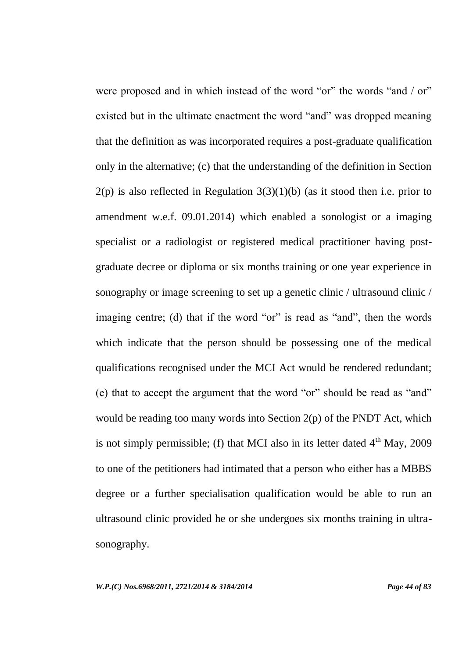were proposed and in which instead of the word "or" the words "and / or" existed but in the ultimate enactment the word "and" was dropped meaning that the definition as was incorporated requires a post-graduate qualification only in the alternative; (c) that the understanding of the definition in Section  $2(p)$  is also reflected in Regulation  $3(3)(1)(b)$  (as it stood then i.e. prior to amendment w.e.f. 09.01.2014) which enabled a sonologist or a imaging specialist or a radiologist or registered medical practitioner having postgraduate decree or diploma or six months training or one year experience in sonography or image screening to set up a genetic clinic / ultrasound clinic / imaging centre; (d) that if the word "or" is read as "and", then the words which indicate that the person should be possessing one of the medical qualifications recognised under the MCI Act would be rendered redundant; (e) that to accept the argument that the word "or" should be read as "and" would be reading too many words into Section 2(p) of the PNDT Act, which is not simply permissible; (f) that MCI also in its letter dated  $4<sup>th</sup>$  May, 2009 to one of the petitioners had intimated that a person who either has a MBBS degree or a further specialisation qualification would be able to run an ultrasound clinic provided he or she undergoes six months training in ultrasonography.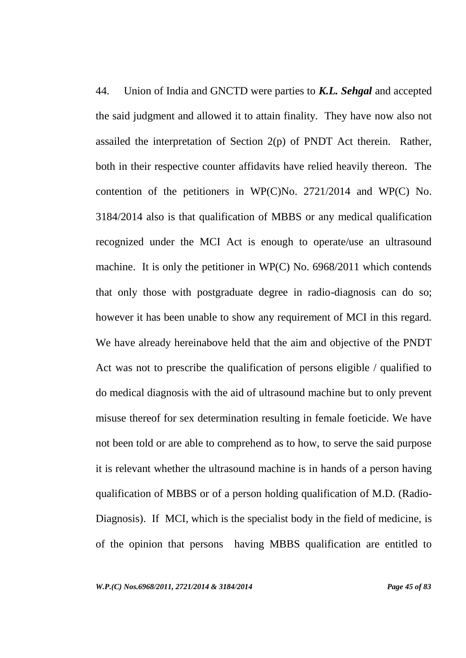44. Union of India and GNCTD were parties to *K.L. Sehgal* and accepted the said judgment and allowed it to attain finality. They have now also not assailed the interpretation of Section 2(p) of PNDT Act therein. Rather, both in their respective counter affidavits have relied heavily thereon. The contention of the petitioners in WP(C)No. 2721/2014 and WP(C) No. 3184/2014 also is that qualification of MBBS or any medical qualification recognized under the MCI Act is enough to operate/use an ultrasound machine. It is only the petitioner in WP(C) No. 6968/2011 which contends that only those with postgraduate degree in radio-diagnosis can do so; however it has been unable to show any requirement of MCI in this regard. We have already hereinabove held that the aim and objective of the PNDT Act was not to prescribe the qualification of persons eligible / qualified to do medical diagnosis with the aid of ultrasound machine but to only prevent misuse thereof for sex determination resulting in female foeticide. We have not been told or are able to comprehend as to how, to serve the said purpose it is relevant whether the ultrasound machine is in hands of a person having qualification of MBBS or of a person holding qualification of M.D. (Radio-Diagnosis). If MCI, which is the specialist body in the field of medicine, is of the opinion that persons having MBBS qualification are entitled to

*W.P.(C) Nos.6968/2011, 2721/2014 & 3184/2014 Page 45 of 83*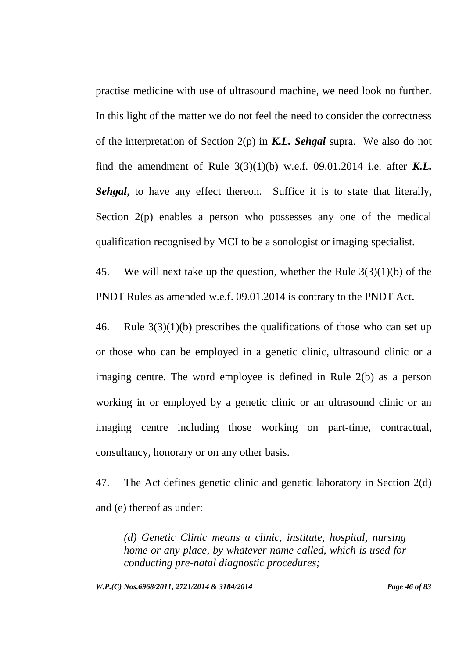practise medicine with use of ultrasound machine, we need look no further. In this light of the matter we do not feel the need to consider the correctness of the interpretation of Section 2(p) in *K.L. Sehgal* supra. We also do not find the amendment of Rule 3(3)(1)(b) w.e.f. 09.01.2014 i.e. after *K.L. Sehgal*, to have any effect thereon. Suffice it is to state that literally, Section 2(p) enables a person who possesses any one of the medical qualification recognised by MCI to be a sonologist or imaging specialist.

45. We will next take up the question, whether the Rule 3(3)(1)(b) of the PNDT Rules as amended w.e.f. 09.01.2014 is contrary to the PNDT Act.

46. Rule 3(3)(1)(b) prescribes the qualifications of those who can set up or those who can be employed in a genetic clinic, ultrasound clinic or a imaging centre. The word employee is defined in Rule 2(b) as a person working in or employed by a genetic clinic or an ultrasound clinic or an imaging centre including those working on part-time, contractual, consultancy, honorary or on any other basis.

47. The Act defines genetic clinic and genetic laboratory in Section 2(d) and (e) thereof as under:

*(d) Genetic Clinic means a clinic, institute, hospital, nursing home or any place, by whatever name called, which is used for conducting pre-natal diagnostic procedures;*

*W.P.(C) Nos.6968/2011, 2721/2014 & 3184/2014 Page 46 of 83*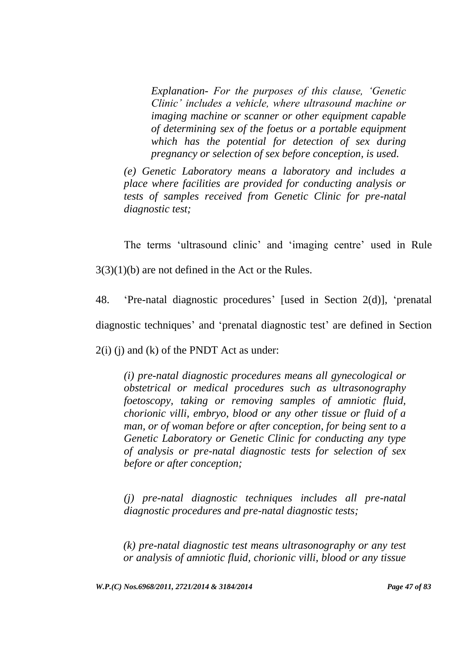*Explanation- For the purposes of this clause, "Genetic Clinic" includes a vehicle, where ultrasound machine or imaging machine or scanner or other equipment capable of determining sex of the foetus or a portable equipment which has the potential for detection of sex during pregnancy or selection of sex before conception, is used.*

*(e) Genetic Laboratory means a laboratory and includes a place where facilities are provided for conducting analysis or tests of samples received from Genetic Clinic for pre-natal diagnostic test;*

The terms 'ultrasound clinic' and 'imaging centre' used in Rule 3(3)(1)(b) are not defined in the Act or the Rules.

48. "Pre-natal diagnostic procedures" [used in Section 2(d)], "prenatal diagnostic techniques' and 'prenatal diagnostic test' are defined in Section  $2(i)$  (j) and (k) of the PNDT Act as under:

*(i) pre-natal diagnostic procedures means all gynecological or obstetrical or medical procedures such as ultrasonography foetoscopy, taking or removing samples of amniotic fluid, chorionic villi, embryo, blood or any other tissue or fluid of a man, or of woman before or after conception, for being sent to a Genetic Laboratory or Genetic Clinic for conducting any type of analysis or pre-natal diagnostic tests for selection of sex before or after conception;*

*(j) pre-natal diagnostic techniques includes all pre-natal diagnostic procedures and pre-natal diagnostic tests;*

*(k) pre-natal diagnostic test means ultrasonography or any test or analysis of amniotic fluid, chorionic villi, blood or any tissue* 

*W.P.(C) Nos.6968/2011, 2721/2014 & 3184/2014 Page 47 of 83*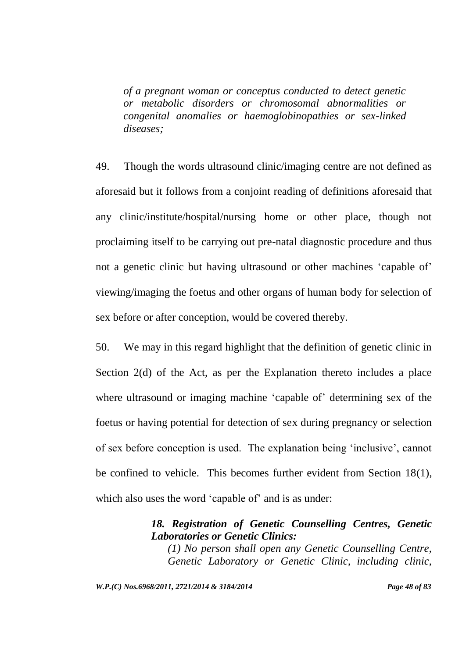*of a pregnant woman or conceptus conducted to detect genetic or metabolic disorders or chromosomal abnormalities or congenital anomalies or haemoglobinopathies or sex-linked diseases;*

49. Though the words ultrasound clinic/imaging centre are not defined as aforesaid but it follows from a conjoint reading of definitions aforesaid that any clinic/institute/hospital/nursing home or other place, though not proclaiming itself to be carrying out pre-natal diagnostic procedure and thus not a genetic clinic but having ultrasound or other machines 'capable of' viewing/imaging the foetus and other organs of human body for selection of sex before or after conception, would be covered thereby.

50. We may in this regard highlight that the definition of genetic clinic in Section 2(d) of the Act, as per the Explanation thereto includes a place where ultrasound or imaging machine 'capable of' determining sex of the foetus or having potential for detection of sex during pregnancy or selection of sex before conception is used. The explanation being "inclusive", cannot be confined to vehicle. This becomes further evident from Section 18(1), which also uses the word 'capable of' and is as under:

## *18. Registration of Genetic Counselling Centres, Genetic Laboratories or Genetic Clinics:*

*(1) No person shall open any Genetic Counselling Centre, Genetic Laboratory or Genetic Clinic, including clinic,* 

*W.P.(C) Nos.6968/2011, 2721/2014 & 3184/2014 Page 48 of 83*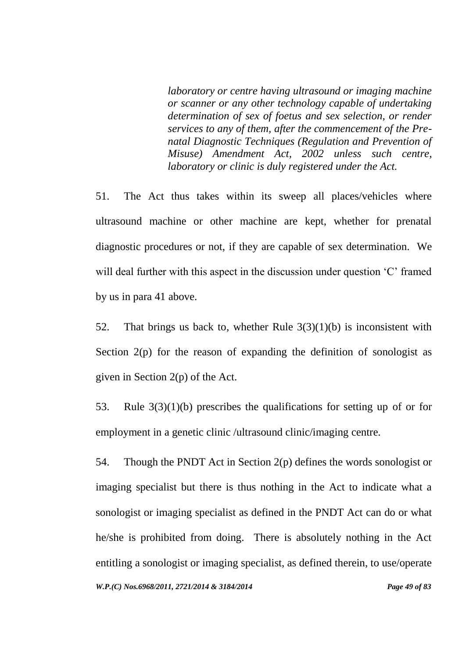*laboratory or centre having ultrasound or imaging machine or scanner or any other technology capable of undertaking determination of sex of foetus and sex selection, or render services to any of them, after the commencement of the Prenatal Diagnostic Techniques (Regulation and Prevention of Misuse) Amendment Act, 2002 unless such centre, laboratory or clinic is duly registered under the Act.*

51. The Act thus takes within its sweep all places/vehicles where ultrasound machine or other machine are kept, whether for prenatal diagnostic procedures or not, if they are capable of sex determination. We will deal further with this aspect in the discussion under question 'C' framed by us in para 41 above.

52. That brings us back to, whether Rule  $3(3)(1)(b)$  is inconsistent with Section  $2(p)$  for the reason of expanding the definition of sonologist as given in Section 2(p) of the Act.

53. Rule 3(3)(1)(b) prescribes the qualifications for setting up of or for employment in a genetic clinic /ultrasound clinic/imaging centre.

*W.P.(C) Nos.6968/2011, 2721/2014 & 3184/2014 Page 49 of 83* 54. Though the PNDT Act in Section 2(p) defines the words sonologist or imaging specialist but there is thus nothing in the Act to indicate what a sonologist or imaging specialist as defined in the PNDT Act can do or what he/she is prohibited from doing. There is absolutely nothing in the Act entitling a sonologist or imaging specialist, as defined therein, to use/operate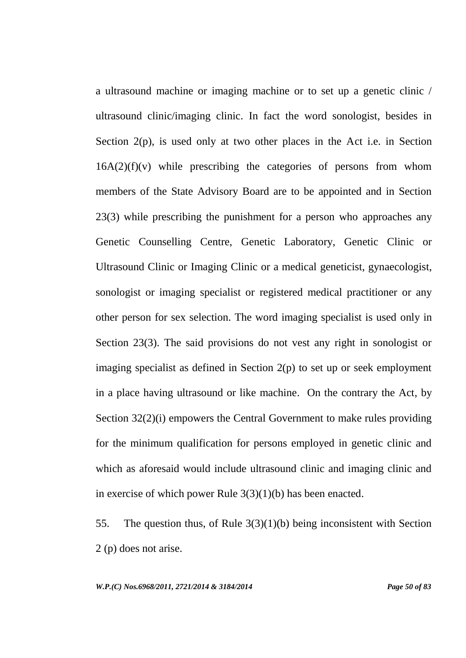a ultrasound machine or imaging machine or to set up a genetic clinic / ultrasound clinic/imaging clinic. In fact the word sonologist, besides in Section 2(p), is used only at two other places in the Act i.e. in Section  $16A(2)(f)(v)$  while prescribing the categories of persons from whom members of the State Advisory Board are to be appointed and in Section 23(3) while prescribing the punishment for a person who approaches any Genetic Counselling Centre, Genetic Laboratory, Genetic Clinic or Ultrasound Clinic or Imaging Clinic or a medical geneticist, gynaecologist, sonologist or imaging specialist or registered medical practitioner or any other person for sex selection. The word imaging specialist is used only in Section 23(3). The said provisions do not vest any right in sonologist or imaging specialist as defined in Section 2(p) to set up or seek employment in a place having ultrasound or like machine. On the contrary the Act, by Section 32(2)(i) empowers the Central Government to make rules providing for the minimum qualification for persons employed in genetic clinic and which as aforesaid would include ultrasound clinic and imaging clinic and in exercise of which power Rule 3(3)(1)(b) has been enacted.

55. The question thus, of Rule 3(3)(1)(b) being inconsistent with Section 2 (p) does not arise.

*W.P.(C) Nos.6968/2011, 2721/2014 & 3184/2014 Page 50 of 83*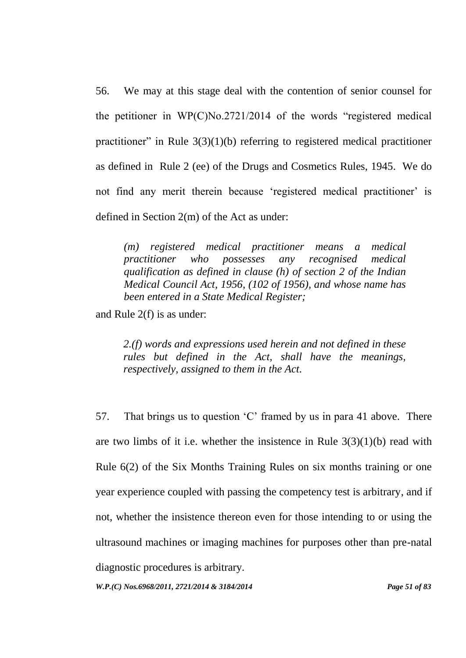56. We may at this stage deal with the contention of senior counsel for the petitioner in WP(C)No.2721/2014 of the words "registered medical practitioner" in Rule  $3(3)(1)(b)$  referring to registered medical practitioner as defined in Rule 2 (ee) of the Drugs and Cosmetics Rules, 1945. We do not find any merit therein because 'registered medical practitioner' is defined in Section 2(m) of the Act as under:

*(m) registered medical practitioner means a medical practitioner who possesses any recognised medical qualification as defined in clause (h) of section 2 of the Indian Medical Council Act, 1956, (102 of 1956), and whose name has been entered in a State Medical Register;*

and Rule 2(f) is as under:

*2.(f) words and expressions used herein and not defined in these rules but defined in the Act, shall have the meanings, respectively, assigned to them in the Act.*

57. That brings us to question "C" framed by us in para 41 above. There are two limbs of it i.e. whether the insistence in Rule  $3(3)(1)(b)$  read with Rule 6(2) of the Six Months Training Rules on six months training or one year experience coupled with passing the competency test is arbitrary, and if not, whether the insistence thereon even for those intending to or using the ultrasound machines or imaging machines for purposes other than pre-natal diagnostic procedures is arbitrary.

*W.P.(C) Nos.6968/2011, 2721/2014 & 3184/2014 Page 51 of 83*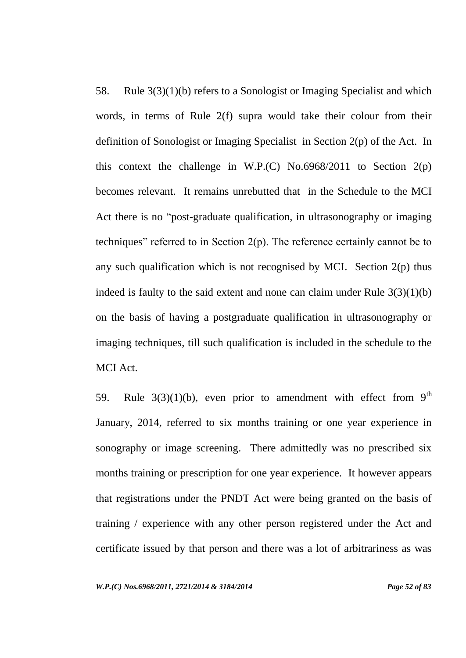58. Rule 3(3)(1)(b) refers to a Sonologist or Imaging Specialist and which words, in terms of Rule 2(f) supra would take their colour from their definition of Sonologist or Imaging Specialist in Section 2(p) of the Act. In this context the challenge in W.P.(C) No.6968/2011 to Section  $2(p)$ becomes relevant. It remains unrebutted that in the Schedule to the MCI Act there is no "post-graduate qualification, in ultrasonography or imaging techniques" referred to in Section 2(p). The reference certainly cannot be to any such qualification which is not recognised by MCI. Section  $2(p)$  thus indeed is faulty to the said extent and none can claim under Rule  $3(3)(1)(b)$ on the basis of having a postgraduate qualification in ultrasonography or imaging techniques, till such qualification is included in the schedule to the MCI Act.

59. Rule  $3(3)(1)(b)$ , even prior to amendment with effect from 9<sup>th</sup> January, 2014, referred to six months training or one year experience in sonography or image screening. There admittedly was no prescribed six months training or prescription for one year experience. It however appears that registrations under the PNDT Act were being granted on the basis of training / experience with any other person registered under the Act and certificate issued by that person and there was a lot of arbitrariness as was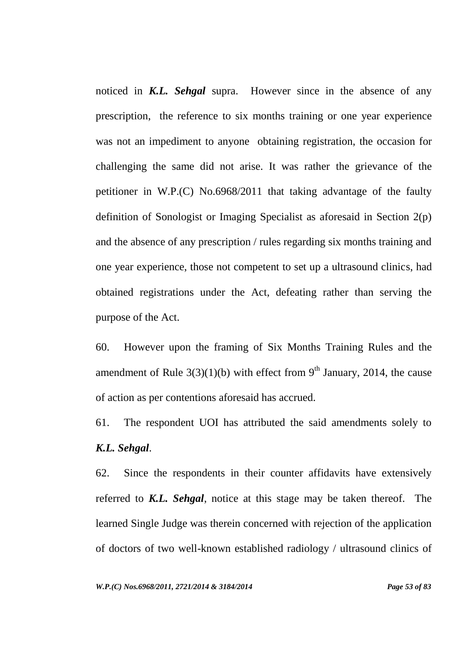noticed in *K.L. Sehgal* supra. However since in the absence of any prescription, the reference to six months training or one year experience was not an impediment to anyone obtaining registration, the occasion for challenging the same did not arise. It was rather the grievance of the petitioner in W.P.(C) No.6968/2011 that taking advantage of the faulty definition of Sonologist or Imaging Specialist as aforesaid in Section 2(p) and the absence of any prescription / rules regarding six months training and one year experience, those not competent to set up a ultrasound clinics, had obtained registrations under the Act, defeating rather than serving the purpose of the Act.

60. However upon the framing of Six Months Training Rules and the amendment of Rule  $3(3)(1)(b)$  with effect from 9<sup>th</sup> January, 2014, the cause of action as per contentions aforesaid has accrued.

61. The respondent UOI has attributed the said amendments solely to *K.L. Sehgal*.

62. Since the respondents in their counter affidavits have extensively referred to *K.L. Sehgal*, notice at this stage may be taken thereof. The learned Single Judge was therein concerned with rejection of the application of doctors of two well-known established radiology / ultrasound clinics of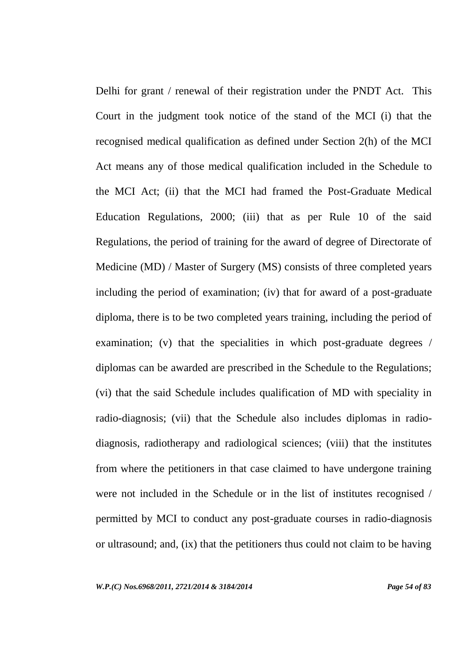Delhi for grant / renewal of their registration under the PNDT Act. This Court in the judgment took notice of the stand of the MCI (i) that the recognised medical qualification as defined under Section 2(h) of the MCI Act means any of those medical qualification included in the Schedule to the MCI Act; (ii) that the MCI had framed the Post-Graduate Medical Education Regulations, 2000; (iii) that as per Rule 10 of the said Regulations, the period of training for the award of degree of Directorate of Medicine (MD) / Master of Surgery (MS) consists of three completed years including the period of examination; (iv) that for award of a post-graduate diploma, there is to be two completed years training, including the period of examination; (v) that the specialities in which post-graduate degrees / diplomas can be awarded are prescribed in the Schedule to the Regulations; (vi) that the said Schedule includes qualification of MD with speciality in radio-diagnosis; (vii) that the Schedule also includes diplomas in radiodiagnosis, radiotherapy and radiological sciences; (viii) that the institutes from where the petitioners in that case claimed to have undergone training were not included in the Schedule or in the list of institutes recognised / permitted by MCI to conduct any post-graduate courses in radio-diagnosis or ultrasound; and, (ix) that the petitioners thus could not claim to be having

*W.P.(C) Nos.6968/2011, 2721/2014 & 3184/2014 Page 54 of 83*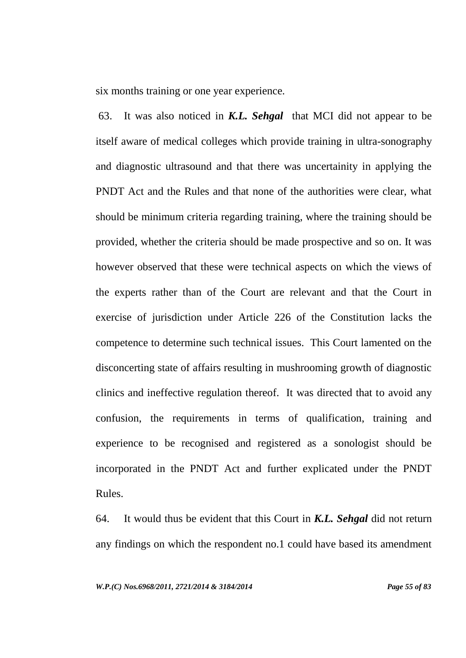six months training or one year experience.

63. It was also noticed in *K.L. Sehgal* that MCI did not appear to be itself aware of medical colleges which provide training in ultra-sonography and diagnostic ultrasound and that there was uncertainity in applying the PNDT Act and the Rules and that none of the authorities were clear, what should be minimum criteria regarding training, where the training should be provided, whether the criteria should be made prospective and so on. It was however observed that these were technical aspects on which the views of the experts rather than of the Court are relevant and that the Court in exercise of jurisdiction under Article 226 of the Constitution lacks the competence to determine such technical issues. This Court lamented on the disconcerting state of affairs resulting in mushrooming growth of diagnostic clinics and ineffective regulation thereof. It was directed that to avoid any confusion, the requirements in terms of qualification, training and experience to be recognised and registered as a sonologist should be incorporated in the PNDT Act and further explicated under the PNDT Rules.

64. It would thus be evident that this Court in *K.L. Sehgal* did not return any findings on which the respondent no.1 could have based its amendment

*W.P.(C) Nos.6968/2011, 2721/2014 & 3184/2014 Page 55 of 83*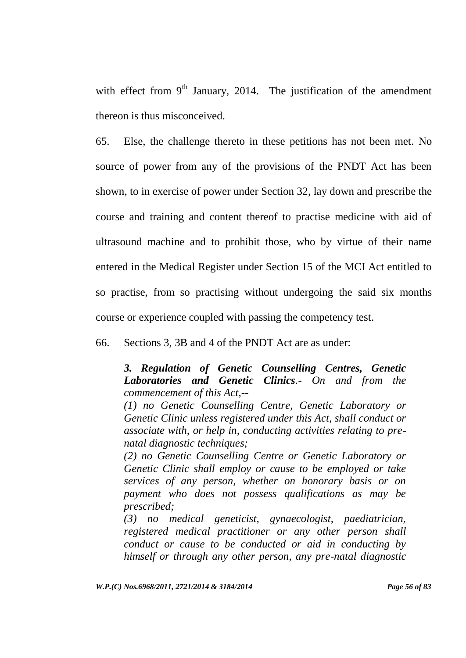with effect from  $9<sup>th</sup>$  January, 2014. The justification of the amendment thereon is thus misconceived.

65. Else, the challenge thereto in these petitions has not been met. No source of power from any of the provisions of the PNDT Act has been shown, to in exercise of power under Section 32, lay down and prescribe the course and training and content thereof to practise medicine with aid of ultrasound machine and to prohibit those, who by virtue of their name entered in the Medical Register under Section 15 of the MCI Act entitled to so practise, from so practising without undergoing the said six months course or experience coupled with passing the competency test.

66. Sections 3, 3B and 4 of the PNDT Act are as under:

*3. Regulation of Genetic Counselling Centres, Genetic Laboratories and Genetic Clinics.- On and from the commencement of this Act,--*

*(1) no Genetic Counselling Centre, Genetic Laboratory or Genetic Clinic unless registered under this Act, shall conduct or associate with, or help in, conducting activities relating to prenatal diagnostic techniques;*

*(2) no Genetic Counselling Centre or Genetic Laboratory or Genetic Clinic shall employ or cause to be employed or take services of any person, whether on honorary basis or on payment who does not possess qualifications as may be prescribed;*

*(3) no medical geneticist, gynaecologist, paediatrician, registered medical practitioner or any other person shall conduct or cause to be conducted or aid in conducting by himself or through any other person, any pre-natal diagnostic* 

*W.P.(C) Nos.6968/2011, 2721/2014 & 3184/2014 Page 56 of 83*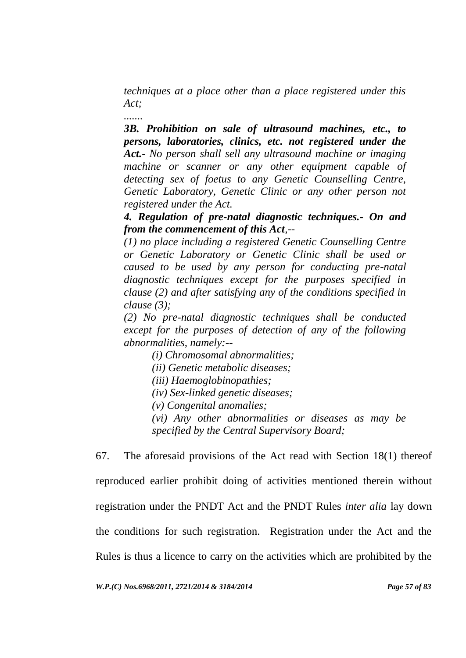*techniques at a place other than a place registered under this Act;*

*.......*

*3B. Prohibition on sale of ultrasound machines, etc., to persons, laboratories, clinics, etc. not registered under the Act.- No person shall sell any ultrasound machine or imaging machine or scanner or any other equipment capable of detecting sex of foetus to any Genetic Counselling Centre, Genetic Laboratory, Genetic Clinic or any other person not registered under the Act.* 

*4. Regulation of pre-natal diagnostic techniques.- On and from the commencement of this Act,--*

*(1) no place including a registered Genetic Counselling Centre or Genetic Laboratory or Genetic Clinic shall be used or caused to be used by any person for conducting pre-natal diagnostic techniques except for the purposes specified in clause (2) and after satisfying any of the conditions specified in clause (3);*

*(2) No pre-natal diagnostic techniques shall be conducted except for the purposes of detection of any of the following abnormalities, namely:--*

*(i) Chromosomal abnormalities;*

*(ii) Genetic metabolic diseases;*

*(iii) Haemoglobinopathies;*

*(iv) Sex-linked genetic diseases;*

*(v) Congenital anomalies;*

*(vi) Any other abnormalities or diseases as may be specified by the Central Supervisory Board;*

67. The aforesaid provisions of the Act read with Section 18(1) thereof reproduced earlier prohibit doing of activities mentioned therein without registration under the PNDT Act and the PNDT Rules *inter alia* lay down the conditions for such registration. Registration under the Act and the Rules is thus a licence to carry on the activities which are prohibited by the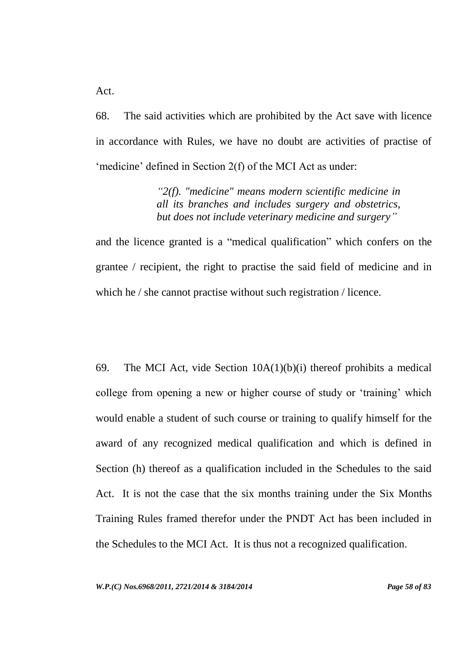Act.

68. The said activities which are prohibited by the Act save with licence in accordance with Rules, we have no doubt are activities of practise of 'medicine' defined in Section 2(f) of the MCI Act as under:

> *"2(f). "medicine" means modern scientific medicine in all its branches and includes surgery and obstetrics, but does not include veterinary medicine and surgery"*

and the licence granted is a "medical qualification" which confers on the grantee / recipient, the right to practise the said field of medicine and in which he / she cannot practise without such registration / licence.

69. The MCI Act, vide Section  $10A(1)(b)(i)$  thereof prohibits a medical college from opening a new or higher course of study or "training" which would enable a student of such course or training to qualify himself for the award of any recognized medical qualification and which is defined in Section (h) thereof as a qualification included in the Schedules to the said Act. It is not the case that the six months training under the Six Months Training Rules framed therefor under the PNDT Act has been included in the Schedules to the MCI Act. It is thus not a recognized qualification.

*W.P.(C) Nos.6968/2011, 2721/2014 & 3184/2014 Page 58 of 83*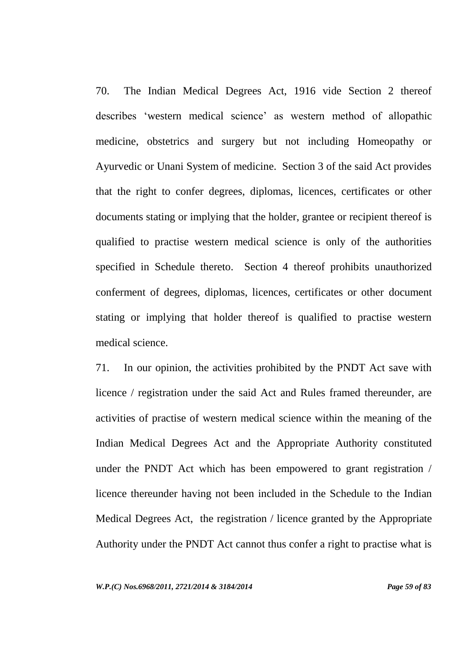70. The Indian Medical Degrees Act, 1916 vide Section 2 thereof describes "western medical science" as western method of allopathic medicine, obstetrics and surgery but not including Homeopathy or Ayurvedic or Unani System of medicine. Section 3 of the said Act provides that the right to confer degrees, diplomas, licences, certificates or other documents stating or implying that the holder, grantee or recipient thereof is qualified to practise western medical science is only of the authorities specified in Schedule thereto. Section 4 thereof prohibits unauthorized conferment of degrees, diplomas, licences, certificates or other document stating or implying that holder thereof is qualified to practise western medical science.

71. In our opinion, the activities prohibited by the PNDT Act save with licence / registration under the said Act and Rules framed thereunder, are activities of practise of western medical science within the meaning of the Indian Medical Degrees Act and the Appropriate Authority constituted under the PNDT Act which has been empowered to grant registration / licence thereunder having not been included in the Schedule to the Indian Medical Degrees Act, the registration / licence granted by the Appropriate Authority under the PNDT Act cannot thus confer a right to practise what is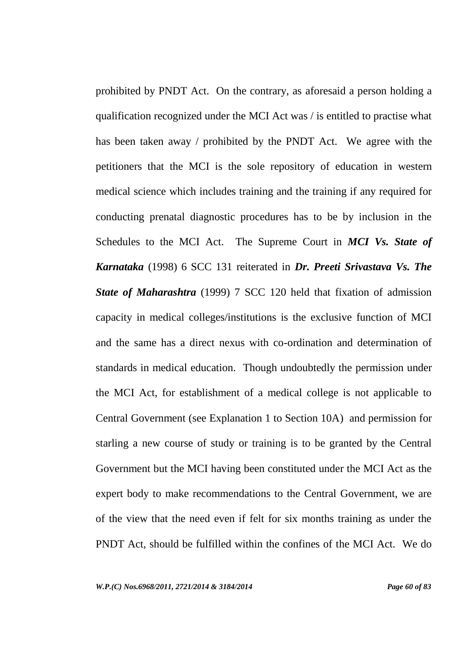prohibited by PNDT Act. On the contrary, as aforesaid a person holding a qualification recognized under the MCI Act was / is entitled to practise what has been taken away / prohibited by the PNDT Act. We agree with the petitioners that the MCI is the sole repository of education in western medical science which includes training and the training if any required for conducting prenatal diagnostic procedures has to be by inclusion in the Schedules to the MCI Act. The Supreme Court in *MCI Vs. State of Karnataka* (1998) 6 SCC 131 reiterated in *Dr. Preeti Srivastava Vs. The State of Maharashtra* (1999) 7 SCC 120 held that fixation of admission capacity in medical colleges/institutions is the exclusive function of MCI and the same has a direct nexus with co-ordination and determination of standards in medical education. Though undoubtedly the permission under the MCI Act, for establishment of a medical college is not applicable to Central Government (see Explanation 1 to Section 10A) and permission for starling a new course of study or training is to be granted by the Central Government but the MCI having been constituted under the MCI Act as the expert body to make recommendations to the Central Government, we are of the view that the need even if felt for six months training as under the PNDT Act, should be fulfilled within the confines of the MCI Act. We do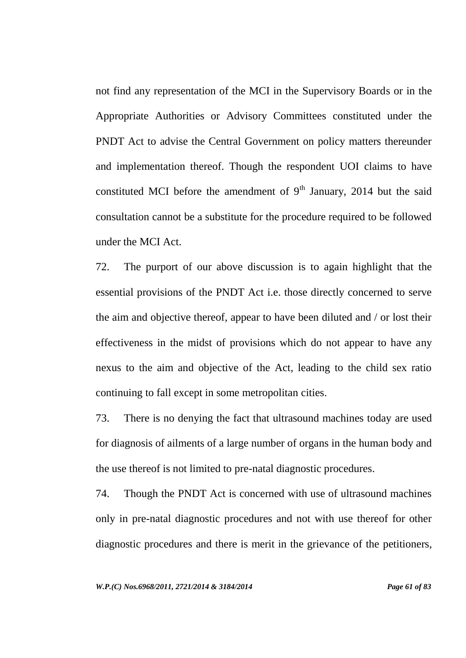not find any representation of the MCI in the Supervisory Boards or in the Appropriate Authorities or Advisory Committees constituted under the PNDT Act to advise the Central Government on policy matters thereunder and implementation thereof. Though the respondent UOI claims to have constituted MCI before the amendment of  $9<sup>th</sup>$  January, 2014 but the said consultation cannot be a substitute for the procedure required to be followed under the MCI Act.

72. The purport of our above discussion is to again highlight that the essential provisions of the PNDT Act i.e. those directly concerned to serve the aim and objective thereof, appear to have been diluted and / or lost their effectiveness in the midst of provisions which do not appear to have any nexus to the aim and objective of the Act, leading to the child sex ratio continuing to fall except in some metropolitan cities.

73. There is no denying the fact that ultrasound machines today are used for diagnosis of ailments of a large number of organs in the human body and the use thereof is not limited to pre-natal diagnostic procedures.

74. Though the PNDT Act is concerned with use of ultrasound machines only in pre-natal diagnostic procedures and not with use thereof for other diagnostic procedures and there is merit in the grievance of the petitioners,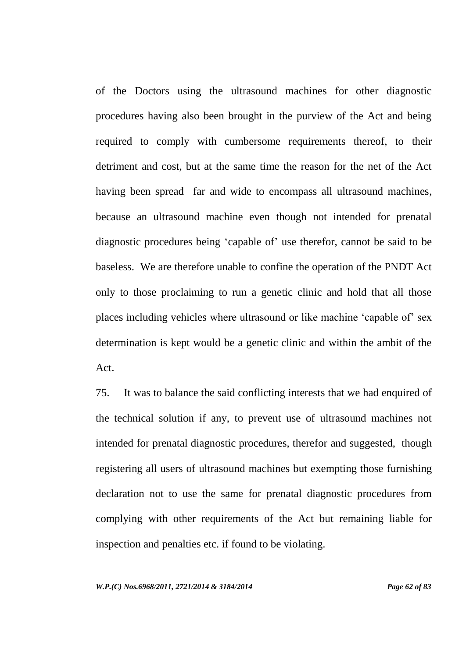of the Doctors using the ultrasound machines for other diagnostic procedures having also been brought in the purview of the Act and being required to comply with cumbersome requirements thereof, to their detriment and cost, but at the same time the reason for the net of the Act having been spread far and wide to encompass all ultrasound machines, because an ultrasound machine even though not intended for prenatal diagnostic procedures being "capable of" use therefor, cannot be said to be baseless. We are therefore unable to confine the operation of the PNDT Act only to those proclaiming to run a genetic clinic and hold that all those places including vehicles where ultrasound or like machine "capable of" sex determination is kept would be a genetic clinic and within the ambit of the Act.

75. It was to balance the said conflicting interests that we had enquired of the technical solution if any, to prevent use of ultrasound machines not intended for prenatal diagnostic procedures, therefor and suggested, though registering all users of ultrasound machines but exempting those furnishing declaration not to use the same for prenatal diagnostic procedures from complying with other requirements of the Act but remaining liable for inspection and penalties etc. if found to be violating.

*W.P.(C) Nos.6968/2011, 2721/2014 & 3184/2014 Page 62 of 83*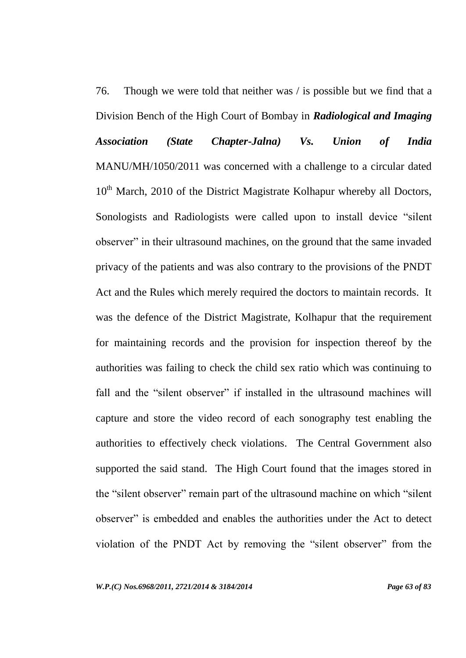76. Though we were told that neither was / is possible but we find that a Division Bench of the High Court of Bombay in *Radiological and Imaging Association (State Chapter-Jalna) Vs. Union of India*  MANU/MH/1050/2011 was concerned with a challenge to a circular dated 10<sup>th</sup> March, 2010 of the District Magistrate Kolhapur whereby all Doctors, Sonologists and Radiologists were called upon to install device "silent observer" in their ultrasound machines, on the ground that the same invaded privacy of the patients and was also contrary to the provisions of the PNDT Act and the Rules which merely required the doctors to maintain records. It was the defence of the District Magistrate, Kolhapur that the requirement for maintaining records and the provision for inspection thereof by the authorities was failing to check the child sex ratio which was continuing to fall and the "silent observer" if installed in the ultrasound machines will capture and store the video record of each sonography test enabling the authorities to effectively check violations. The Central Government also supported the said stand. The High Court found that the images stored in the "silent observer" remain part of the ultrasound machine on which "silent observer" is embedded and enables the authorities under the Act to detect violation of the PNDT Act by removing the "silent observer" from the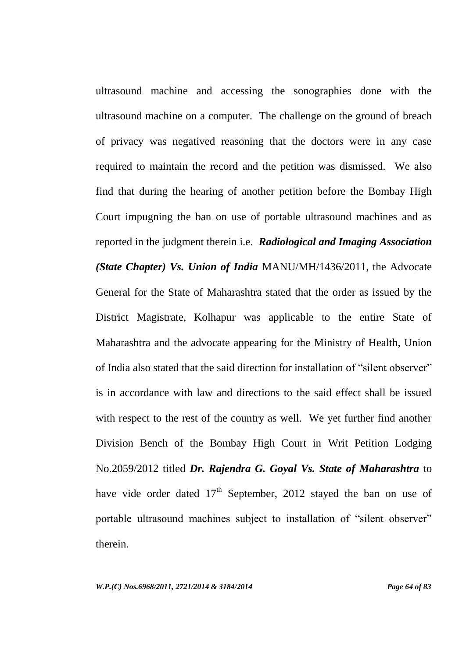ultrasound machine and accessing the sonographies done with the ultrasound machine on a computer. The challenge on the ground of breach of privacy was negatived reasoning that the doctors were in any case required to maintain the record and the petition was dismissed. We also find that during the hearing of another petition before the Bombay High Court impugning the ban on use of portable ultrasound machines and as reported in the judgment therein i.e. *Radiological and Imaging Association (State Chapter) Vs. Union of India* MANU/MH/1436/2011, the Advocate General for the State of Maharashtra stated that the order as issued by the District Magistrate, Kolhapur was applicable to the entire State of Maharashtra and the advocate appearing for the Ministry of Health, Union of India also stated that the said direction for installation of "silent observer" is in accordance with law and directions to the said effect shall be issued with respect to the rest of the country as well. We yet further find another Division Bench of the Bombay High Court in Writ Petition Lodging No.2059/2012 titled *Dr. Rajendra G. Goyal Vs. State of Maharashtra* to have vide order dated  $17<sup>th</sup>$  September, 2012 stayed the ban on use of portable ultrasound machines subject to installation of "silent observer" therein.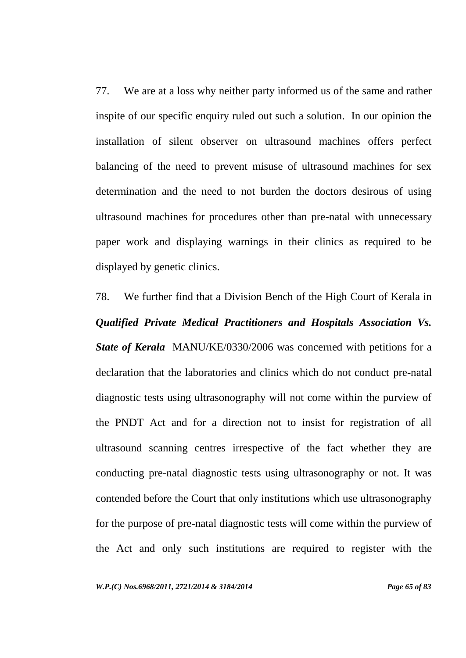77. We are at a loss why neither party informed us of the same and rather inspite of our specific enquiry ruled out such a solution. In our opinion the installation of silent observer on ultrasound machines offers perfect balancing of the need to prevent misuse of ultrasound machines for sex determination and the need to not burden the doctors desirous of using ultrasound machines for procedures other than pre-natal with unnecessary paper work and displaying warnings in their clinics as required to be displayed by genetic clinics.

78. We further find that a Division Bench of the High Court of Kerala in *Qualified Private Medical Practitioners and Hospitals Association Vs. State of Kerala* MANU/KE/0330/2006 was concerned with petitions for a declaration that the laboratories and clinics which do not conduct pre-natal diagnostic tests using ultrasonography will not come within the purview of the PNDT Act and for a direction not to insist for registration of all ultrasound scanning centres irrespective of the fact whether they are conducting pre-natal diagnostic tests using ultrasonography or not. It was contended before the Court that only institutions which use ultrasonography for the purpose of pre-natal diagnostic tests will come within the purview of the Act and only such institutions are required to register with the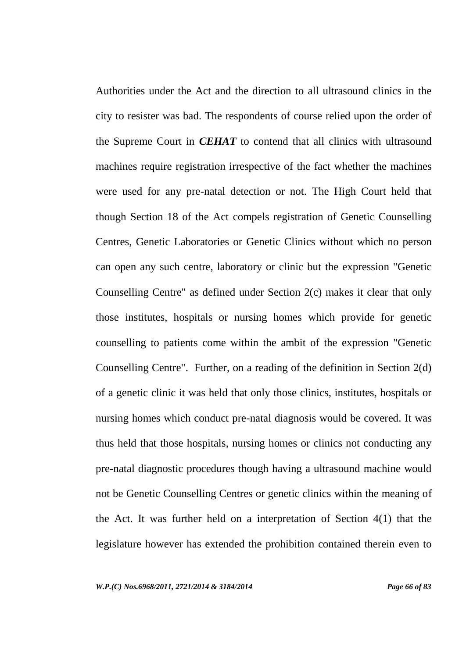Authorities under the Act and the direction to all ultrasound clinics in the city to resister was bad. The respondents of course relied upon the order of the Supreme Court in *CEHAT* to contend that all clinics with ultrasound machines require registration irrespective of the fact whether the machines were used for any pre-natal detection or not. The High Court held that though Section 18 of the Act compels registration of Genetic Counselling Centres, Genetic Laboratories or Genetic Clinics without which no person can open any such centre, laboratory or clinic but the expression "Genetic Counselling Centre" as defined under Section 2(c) makes it clear that only those institutes, hospitals or nursing homes which provide for genetic counselling to patients come within the ambit of the expression "Genetic Counselling Centre". Further, on a reading of the definition in Section 2(d) of a genetic clinic it was held that only those clinics, institutes, hospitals or nursing homes which conduct pre-natal diagnosis would be covered. It was thus held that those hospitals, nursing homes or clinics not conducting any pre-natal diagnostic procedures though having a ultrasound machine would not be Genetic Counselling Centres or genetic clinics within the meaning of the Act. It was further held on a interpretation of Section 4(1) that the legislature however has extended the prohibition contained therein even to

*W.P.(C) Nos.6968/2011, 2721/2014 & 3184/2014 Page 66 of 83*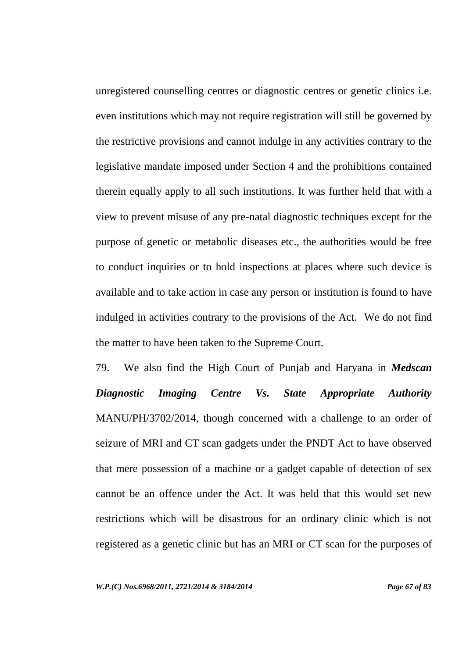unregistered counselling centres or diagnostic centres or genetic clinics i.e. even institutions which may not require registration will still be governed by the restrictive provisions and cannot indulge in any activities contrary to the legislative mandate imposed under Section 4 and the prohibitions contained therein equally apply to all such institutions. It was further held that with a view to prevent misuse of any pre-natal diagnostic techniques except for the purpose of genetic or metabolic diseases etc., the authorities would be free to conduct inquiries or to hold inspections at places where such device is available and to take action in case any person or institution is found to have indulged in activities contrary to the provisions of the Act. We do not find the matter to have been taken to the Supreme Court.

79. We also find the High Court of Punjab and Haryana in *Medscan Diagnostic Imaging Centre Vs. State Appropriate Authority* MANU/PH/3702/2014, though concerned with a challenge to an order of seizure of MRI and CT scan gadgets under the PNDT Act to have observed that mere possession of a machine or a gadget capable of detection of sex cannot be an offence under the Act. It was held that this would set new restrictions which will be disastrous for an ordinary clinic which is not registered as a genetic clinic but has an MRI or CT scan for the purposes of

*W.P.(C) Nos.6968/2011, 2721/2014 & 3184/2014 Page 67 of 83*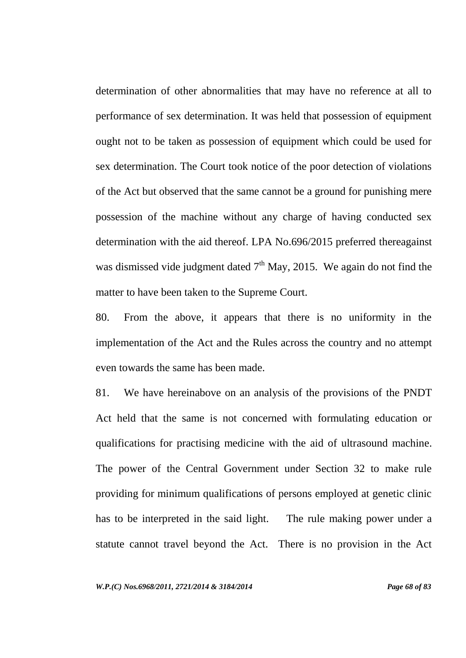determination of other abnormalities that may have no reference at all to performance of sex determination. It was held that possession of equipment ought not to be taken as possession of equipment which could be used for sex determination. The Court took notice of the poor detection of violations of the Act but observed that the same cannot be a ground for punishing mere possession of the machine without any charge of having conducted sex determination with the aid thereof. LPA No.696/2015 preferred thereagainst was dismissed vide judgment dated  $7<sup>th</sup>$  May, 2015. We again do not find the matter to have been taken to the Supreme Court.

80. From the above, it appears that there is no uniformity in the implementation of the Act and the Rules across the country and no attempt even towards the same has been made.

81. We have hereinabove on an analysis of the provisions of the PNDT Act held that the same is not concerned with formulating education or qualifications for practising medicine with the aid of ultrasound machine. The power of the Central Government under Section 32 to make rule providing for minimum qualifications of persons employed at genetic clinic has to be interpreted in the said light. The rule making power under a statute cannot travel beyond the Act. There is no provision in the Act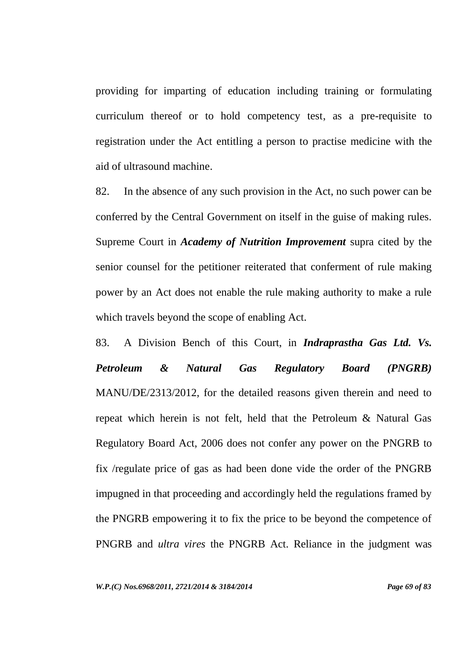providing for imparting of education including training or formulating curriculum thereof or to hold competency test, as a pre-requisite to registration under the Act entitling a person to practise medicine with the aid of ultrasound machine.

82. In the absence of any such provision in the Act, no such power can be conferred by the Central Government on itself in the guise of making rules. Supreme Court in *Academy of Nutrition Improvement* supra cited by the senior counsel for the petitioner reiterated that conferment of rule making power by an Act does not enable the rule making authority to make a rule which travels beyond the scope of enabling Act.

83. A Division Bench of this Court, in *Indraprastha Gas Ltd. Vs. Petroleum & Natural Gas Regulatory Board (PNGRB)* MANU/DE/2313/2012, for the detailed reasons given therein and need to repeat which herein is not felt, held that the Petroleum & Natural Gas Regulatory Board Act, 2006 does not confer any power on the PNGRB to fix /regulate price of gas as had been done vide the order of the PNGRB impugned in that proceeding and accordingly held the regulations framed by the PNGRB empowering it to fix the price to be beyond the competence of PNGRB and *ultra vires* the PNGRB Act. Reliance in the judgment was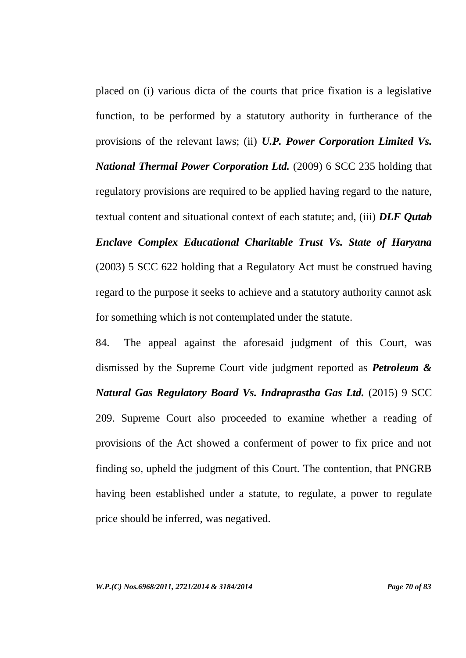placed on (i) various dicta of the courts that price fixation is a legislative function, to be performed by a statutory authority in furtherance of the provisions of the relevant laws; (ii) *U.P. Power Corporation Limited Vs. National Thermal Power Corporation Ltd.* (2009) 6 SCC 235 holding that regulatory provisions are required to be applied having regard to the nature, textual content and situational context of each statute; and, (iii) *DLF Qutab Enclave Complex Educational Charitable Trust Vs. State of Haryana*  (2003) 5 SCC 622 holding that a Regulatory Act must be construed having regard to the purpose it seeks to achieve and a statutory authority cannot ask for something which is not contemplated under the statute.

84. The appeal against the aforesaid judgment of this Court, was dismissed by the Supreme Court vide judgment reported as *Petroleum & Natural Gas Regulatory Board Vs. Indraprastha Gas Ltd.* (2015) 9 SCC 209. Supreme Court also proceeded to examine whether a reading of provisions of the Act showed a conferment of power to fix price and not finding so, upheld the judgment of this Court. The contention, that PNGRB having been established under a statute, to regulate, a power to regulate price should be inferred, was negatived.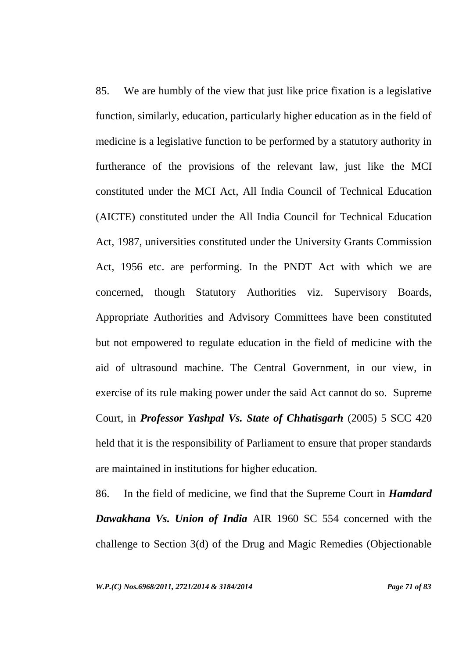85. We are humbly of the view that just like price fixation is a legislative function, similarly, education, particularly higher education as in the field of medicine is a legislative function to be performed by a statutory authority in furtherance of the provisions of the relevant law, just like the MCI constituted under the MCI Act, All India Council of Technical Education (AICTE) constituted under the All India Council for Technical Education Act, 1987, universities constituted under the University Grants Commission Act, 1956 etc. are performing. In the PNDT Act with which we are concerned, though Statutory Authorities viz. Supervisory Boards, Appropriate Authorities and Advisory Committees have been constituted but not empowered to regulate education in the field of medicine with the aid of ultrasound machine. The Central Government, in our view, in exercise of its rule making power under the said Act cannot do so. Supreme Court, in *Professor Yashpal Vs. State of Chhatisgarh* (2005) 5 SCC 420 held that it is the responsibility of Parliament to ensure that proper standards are maintained in institutions for higher education.

86. In the field of medicine, we find that the Supreme Court in *Hamdard Dawakhana Vs. Union of India* AIR 1960 SC 554 concerned with the challenge to Section 3(d) of the Drug and Magic Remedies (Objectionable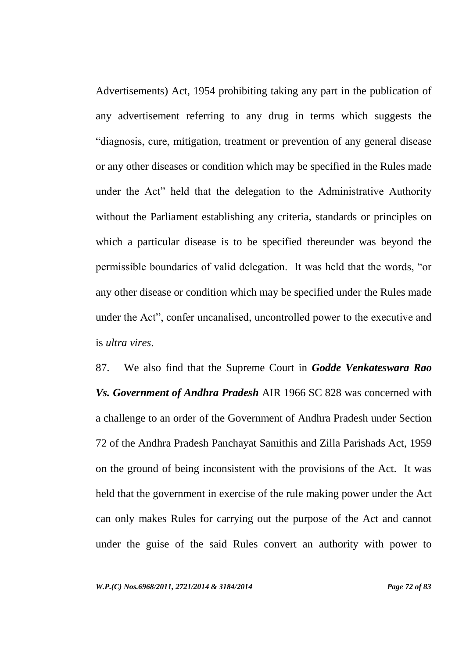Advertisements) Act, 1954 prohibiting taking any part in the publication of any advertisement referring to any drug in terms which suggests the "diagnosis, cure, mitigation, treatment or prevention of any general disease or any other diseases or condition which may be specified in the Rules made under the Act" held that the delegation to the Administrative Authority without the Parliament establishing any criteria, standards or principles on which a particular disease is to be specified thereunder was beyond the permissible boundaries of valid delegation. It was held that the words, "or any other disease or condition which may be specified under the Rules made under the Act", confer uncanalised, uncontrolled power to the executive and is *ultra vires*.

87. We also find that the Supreme Court in *Godde Venkateswara Rao Vs. Government of Andhra Pradesh* AIR 1966 SC 828 was concerned with a challenge to an order of the Government of Andhra Pradesh under Section 72 of the Andhra Pradesh Panchayat Samithis and Zilla Parishads Act, 1959 on the ground of being inconsistent with the provisions of the Act. It was held that the government in exercise of the rule making power under the Act can only makes Rules for carrying out the purpose of the Act and cannot under the guise of the said Rules convert an authority with power to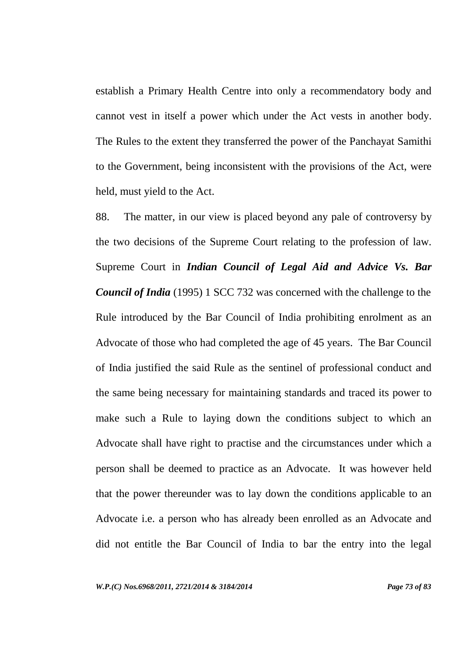establish a Primary Health Centre into only a recommendatory body and cannot vest in itself a power which under the Act vests in another body. The Rules to the extent they transferred the power of the Panchayat Samithi to the Government, being inconsistent with the provisions of the Act, were held, must yield to the Act.

88. The matter, in our view is placed beyond any pale of controversy by the two decisions of the Supreme Court relating to the profession of law. Supreme Court in *Indian Council of Legal Aid and Advice Vs. Bar Council of India* (1995) 1 SCC 732 was concerned with the challenge to the Rule introduced by the Bar Council of India prohibiting enrolment as an Advocate of those who had completed the age of 45 years. The Bar Council of India justified the said Rule as the sentinel of professional conduct and the same being necessary for maintaining standards and traced its power to make such a Rule to laying down the conditions subject to which an Advocate shall have right to practise and the circumstances under which a person shall be deemed to practice as an Advocate. It was however held that the power thereunder was to lay down the conditions applicable to an Advocate i.e. a person who has already been enrolled as an Advocate and did not entitle the Bar Council of India to bar the entry into the legal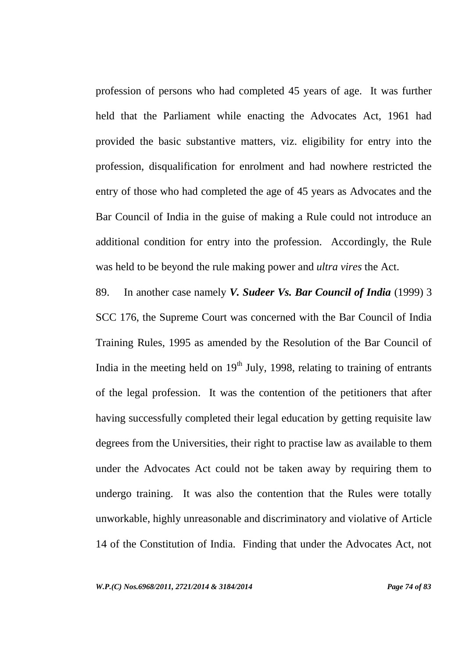profession of persons who had completed 45 years of age. It was further held that the Parliament while enacting the Advocates Act, 1961 had provided the basic substantive matters, viz. eligibility for entry into the profession, disqualification for enrolment and had nowhere restricted the entry of those who had completed the age of 45 years as Advocates and the Bar Council of India in the guise of making a Rule could not introduce an additional condition for entry into the profession. Accordingly, the Rule was held to be beyond the rule making power and *ultra vires* the Act.

89. In another case namely *V. Sudeer Vs. Bar Council of India* (1999) 3 SCC 176, the Supreme Court was concerned with the Bar Council of India Training Rules, 1995 as amended by the Resolution of the Bar Council of India in the meeting held on  $19<sup>th</sup>$  July, 1998, relating to training of entrants of the legal profession. It was the contention of the petitioners that after having successfully completed their legal education by getting requisite law degrees from the Universities, their right to practise law as available to them under the Advocates Act could not be taken away by requiring them to undergo training. It was also the contention that the Rules were totally unworkable, highly unreasonable and discriminatory and violative of Article 14 of the Constitution of India. Finding that under the Advocates Act, not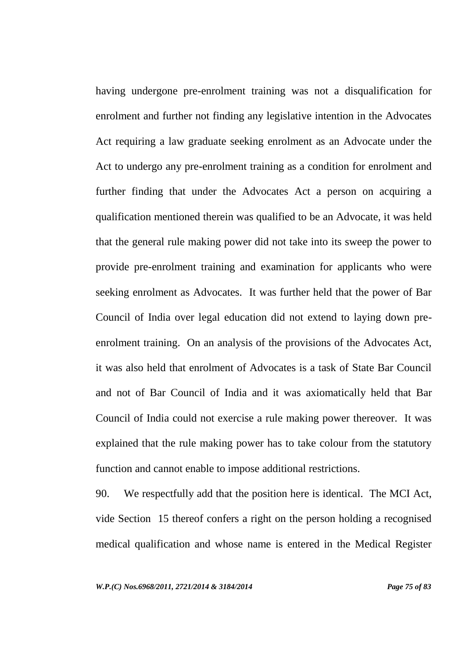having undergone pre-enrolment training was not a disqualification for enrolment and further not finding any legislative intention in the Advocates Act requiring a law graduate seeking enrolment as an Advocate under the Act to undergo any pre-enrolment training as a condition for enrolment and further finding that under the Advocates Act a person on acquiring a qualification mentioned therein was qualified to be an Advocate, it was held that the general rule making power did not take into its sweep the power to provide pre-enrolment training and examination for applicants who were seeking enrolment as Advocates. It was further held that the power of Bar Council of India over legal education did not extend to laying down preenrolment training. On an analysis of the provisions of the Advocates Act, it was also held that enrolment of Advocates is a task of State Bar Council and not of Bar Council of India and it was axiomatically held that Bar Council of India could not exercise a rule making power thereover. It was explained that the rule making power has to take colour from the statutory function and cannot enable to impose additional restrictions.

90. We respectfully add that the position here is identical. The MCI Act, vide Section 15 thereof confers a right on the person holding a recognised medical qualification and whose name is entered in the Medical Register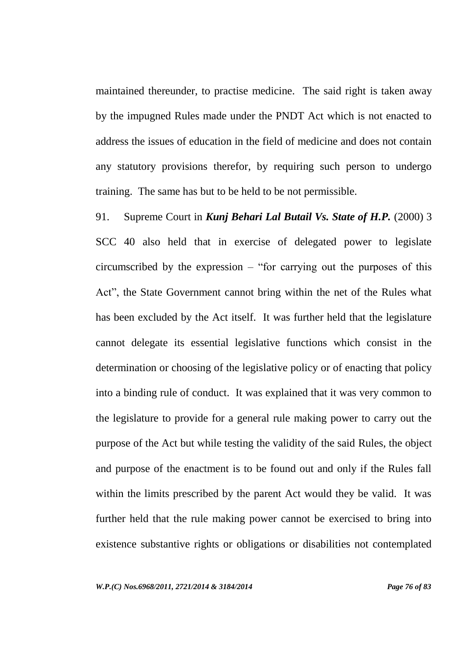maintained thereunder, to practise medicine. The said right is taken away by the impugned Rules made under the PNDT Act which is not enacted to address the issues of education in the field of medicine and does not contain any statutory provisions therefor, by requiring such person to undergo training. The same has but to be held to be not permissible.

91. Supreme Court in *Kunj Behari Lal Butail Vs. State of H.P.* (2000) 3 SCC 40 also held that in exercise of delegated power to legislate circumscribed by the expression – "for carrying out the purposes of this Act", the State Government cannot bring within the net of the Rules what has been excluded by the Act itself. It was further held that the legislature cannot delegate its essential legislative functions which consist in the determination or choosing of the legislative policy or of enacting that policy into a binding rule of conduct. It was explained that it was very common to the legislature to provide for a general rule making power to carry out the purpose of the Act but while testing the validity of the said Rules, the object and purpose of the enactment is to be found out and only if the Rules fall within the limits prescribed by the parent Act would they be valid. It was further held that the rule making power cannot be exercised to bring into existence substantive rights or obligations or disabilities not contemplated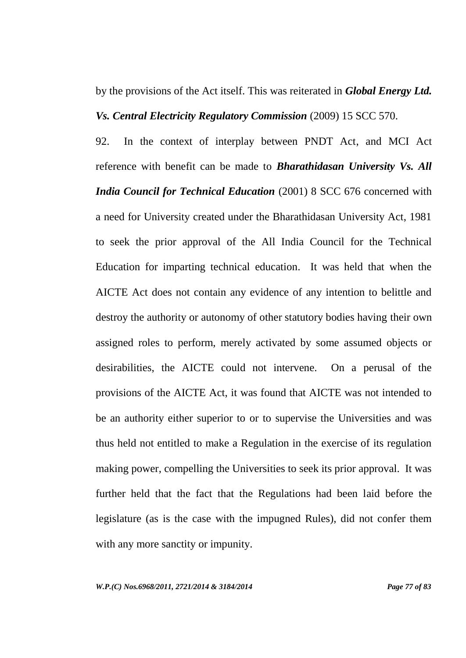by the provisions of the Act itself. This was reiterated in *Global Energy Ltd. Vs. Central Electricity Regulatory Commission* (2009) 15 SCC 570.

92. In the context of interplay between PNDT Act, and MCI Act reference with benefit can be made to *Bharathidasan University Vs. All India Council for Technical Education* (2001) 8 SCC 676 concerned with a need for University created under the Bharathidasan University Act, 1981 to seek the prior approval of the All India Council for the Technical Education for imparting technical education. It was held that when the AICTE Act does not contain any evidence of any intention to belittle and destroy the authority or autonomy of other statutory bodies having their own assigned roles to perform, merely activated by some assumed objects or desirabilities, the AICTE could not intervene. On a perusal of the provisions of the AICTE Act, it was found that AICTE was not intended to be an authority either superior to or to supervise the Universities and was thus held not entitled to make a Regulation in the exercise of its regulation making power, compelling the Universities to seek its prior approval. It was further held that the fact that the Regulations had been laid before the legislature (as is the case with the impugned Rules), did not confer them with any more sanctity or impunity.

*W.P.(C) Nos.6968/2011, 2721/2014 & 3184/2014 Page 77 of 83*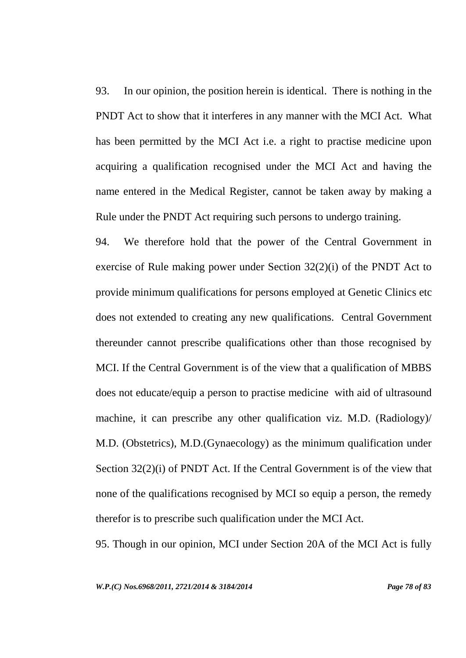93. In our opinion, the position herein is identical. There is nothing in the PNDT Act to show that it interferes in any manner with the MCI Act. What has been permitted by the MCI Act i.e. a right to practise medicine upon acquiring a qualification recognised under the MCI Act and having the name entered in the Medical Register, cannot be taken away by making a Rule under the PNDT Act requiring such persons to undergo training.

94. We therefore hold that the power of the Central Government in exercise of Rule making power under Section 32(2)(i) of the PNDT Act to provide minimum qualifications for persons employed at Genetic Clinics etc does not extended to creating any new qualifications. Central Government thereunder cannot prescribe qualifications other than those recognised by MCI. If the Central Government is of the view that a qualification of MBBS does not educate/equip a person to practise medicine with aid of ultrasound machine, it can prescribe any other qualification viz. M.D. (Radiology)/ M.D. (Obstetrics), M.D.(Gynaecology) as the minimum qualification under Section 32(2)(i) of PNDT Act. If the Central Government is of the view that none of the qualifications recognised by MCI so equip a person, the remedy therefor is to prescribe such qualification under the MCI Act.

95. Though in our opinion, MCI under Section 20A of the MCI Act is fully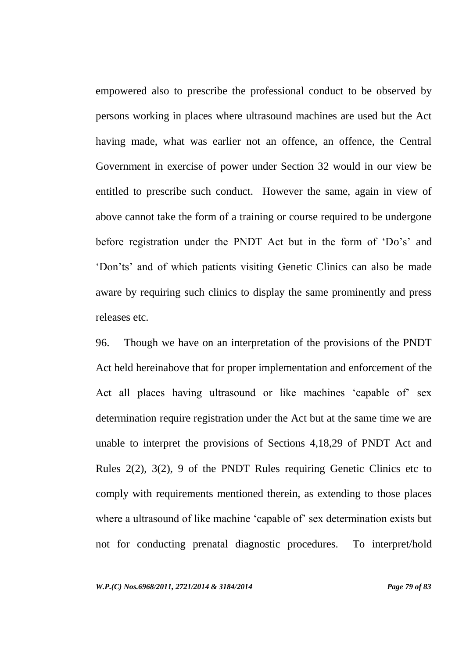empowered also to prescribe the professional conduct to be observed by persons working in places where ultrasound machines are used but the Act having made, what was earlier not an offence, an offence, the Central Government in exercise of power under Section 32 would in our view be entitled to prescribe such conduct. However the same, again in view of above cannot take the form of a training or course required to be undergone before registration under the PNDT Act but in the form of 'Do's' and "Don'ts" and of which patients visiting Genetic Clinics can also be made aware by requiring such clinics to display the same prominently and press releases etc.

96. Though we have on an interpretation of the provisions of the PNDT Act held hereinabove that for proper implementation and enforcement of the Act all places having ultrasound or like machines 'capable of' sex determination require registration under the Act but at the same time we are unable to interpret the provisions of Sections 4,18,29 of PNDT Act and Rules 2(2), 3(2), 9 of the PNDT Rules requiring Genetic Clinics etc to comply with requirements mentioned therein, as extending to those places where a ultrasound of like machine 'capable of' sex determination exists but not for conducting prenatal diagnostic procedures. To interpret/hold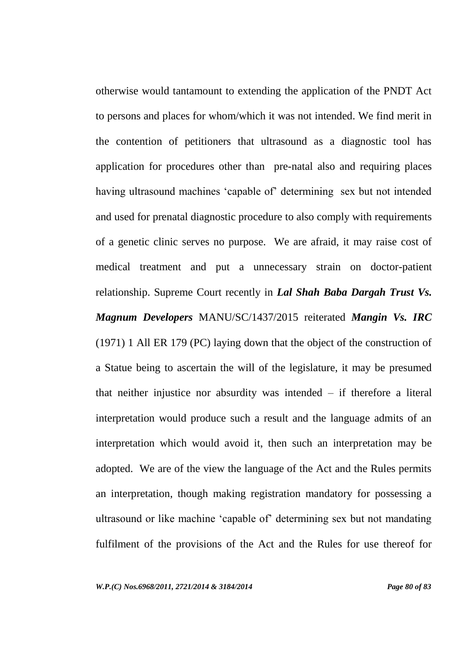otherwise would tantamount to extending the application of the PNDT Act to persons and places for whom/which it was not intended. We find merit in the contention of petitioners that ultrasound as a diagnostic tool has application for procedures other than pre-natal also and requiring places having ultrasound machines 'capable of' determining sex but not intended and used for prenatal diagnostic procedure to also comply with requirements of a genetic clinic serves no purpose. We are afraid, it may raise cost of medical treatment and put a unnecessary strain on doctor-patient relationship. Supreme Court recently in *Lal Shah Baba Dargah Trust Vs. Magnum Developers* MANU/SC/1437/2015 reiterated *Mangin Vs. IRC* (1971) 1 All ER 179 (PC) laying down that the object of the construction of a Statue being to ascertain the will of the legislature, it may be presumed that neither injustice nor absurdity was intended – if therefore a literal interpretation would produce such a result and the language admits of an interpretation which would avoid it, then such an interpretation may be adopted. We are of the view the language of the Act and the Rules permits an interpretation, though making registration mandatory for possessing a ultrasound or like machine "capable of" determining sex but not mandating fulfilment of the provisions of the Act and the Rules for use thereof for

*W.P.(C) Nos.6968/2011, 2721/2014 & 3184/2014 Page 80 of 83*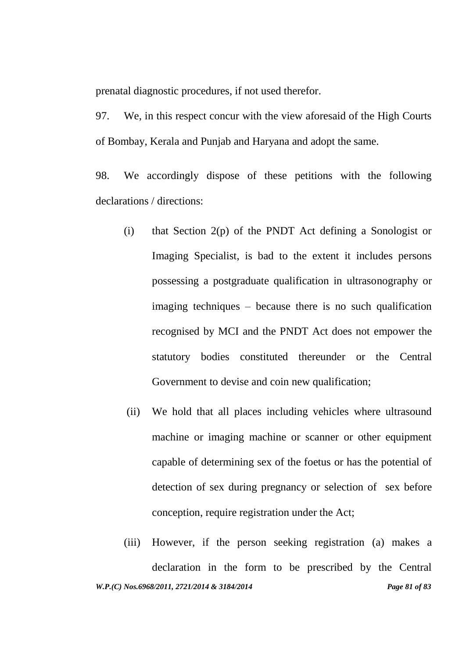prenatal diagnostic procedures, if not used therefor.

97. We, in this respect concur with the view aforesaid of the High Courts of Bombay, Kerala and Punjab and Haryana and adopt the same.

98. We accordingly dispose of these petitions with the following declarations / directions:

- (i) that Section 2(p) of the PNDT Act defining a Sonologist or Imaging Specialist, is bad to the extent it includes persons possessing a postgraduate qualification in ultrasonography or imaging techniques – because there is no such qualification recognised by MCI and the PNDT Act does not empower the statutory bodies constituted thereunder or the Central Government to devise and coin new qualification;
- (ii) We hold that all places including vehicles where ultrasound machine or imaging machine or scanner or other equipment capable of determining sex of the foetus or has the potential of detection of sex during pregnancy or selection of sex before conception, require registration under the Act;
- *W.P.(C) Nos.6968/2011, 2721/2014 & 3184/2014 Page 81 of 83* (iii) However, if the person seeking registration (a) makes a declaration in the form to be prescribed by the Central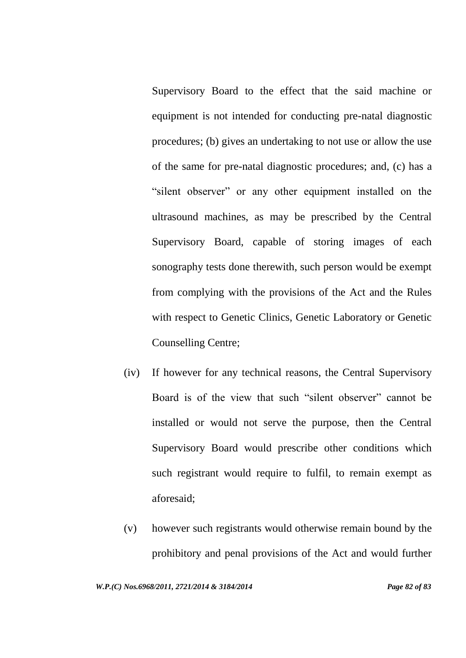Supervisory Board to the effect that the said machine or equipment is not intended for conducting pre-natal diagnostic procedures; (b) gives an undertaking to not use or allow the use of the same for pre-natal diagnostic procedures; and, (c) has a "silent observer" or any other equipment installed on the ultrasound machines, as may be prescribed by the Central Supervisory Board, capable of storing images of each sonography tests done therewith, such person would be exempt from complying with the provisions of the Act and the Rules with respect to Genetic Clinics, Genetic Laboratory or Genetic Counselling Centre;

- (iv) If however for any technical reasons, the Central Supervisory Board is of the view that such "silent observer" cannot be installed or would not serve the purpose, then the Central Supervisory Board would prescribe other conditions which such registrant would require to fulfil, to remain exempt as aforesaid;
- (v) however such registrants would otherwise remain bound by the prohibitory and penal provisions of the Act and would further